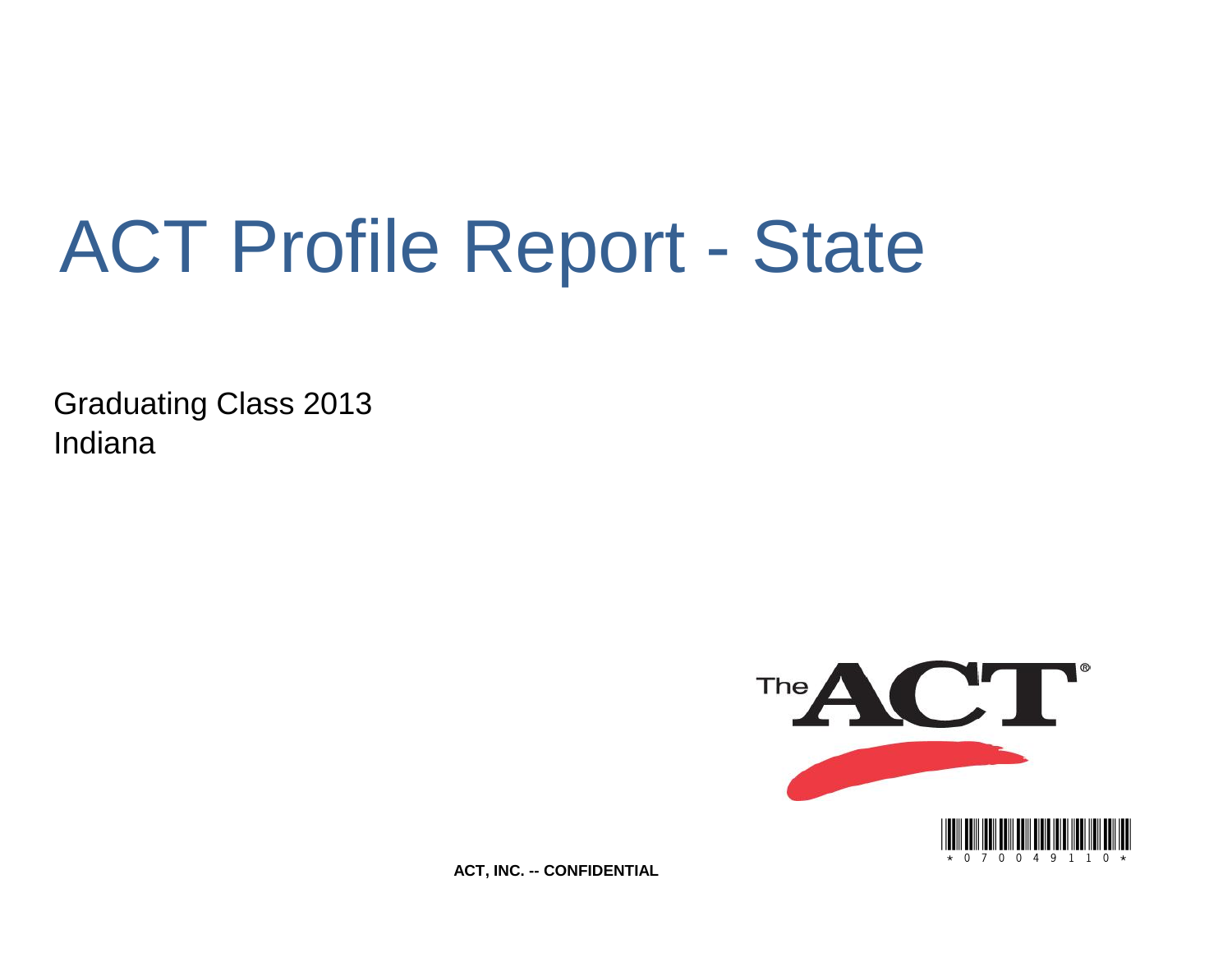# ACT Profile Report - State

Graduating Class 2013 Indiana



**ACT, INC. -- CONFIDENTIAL**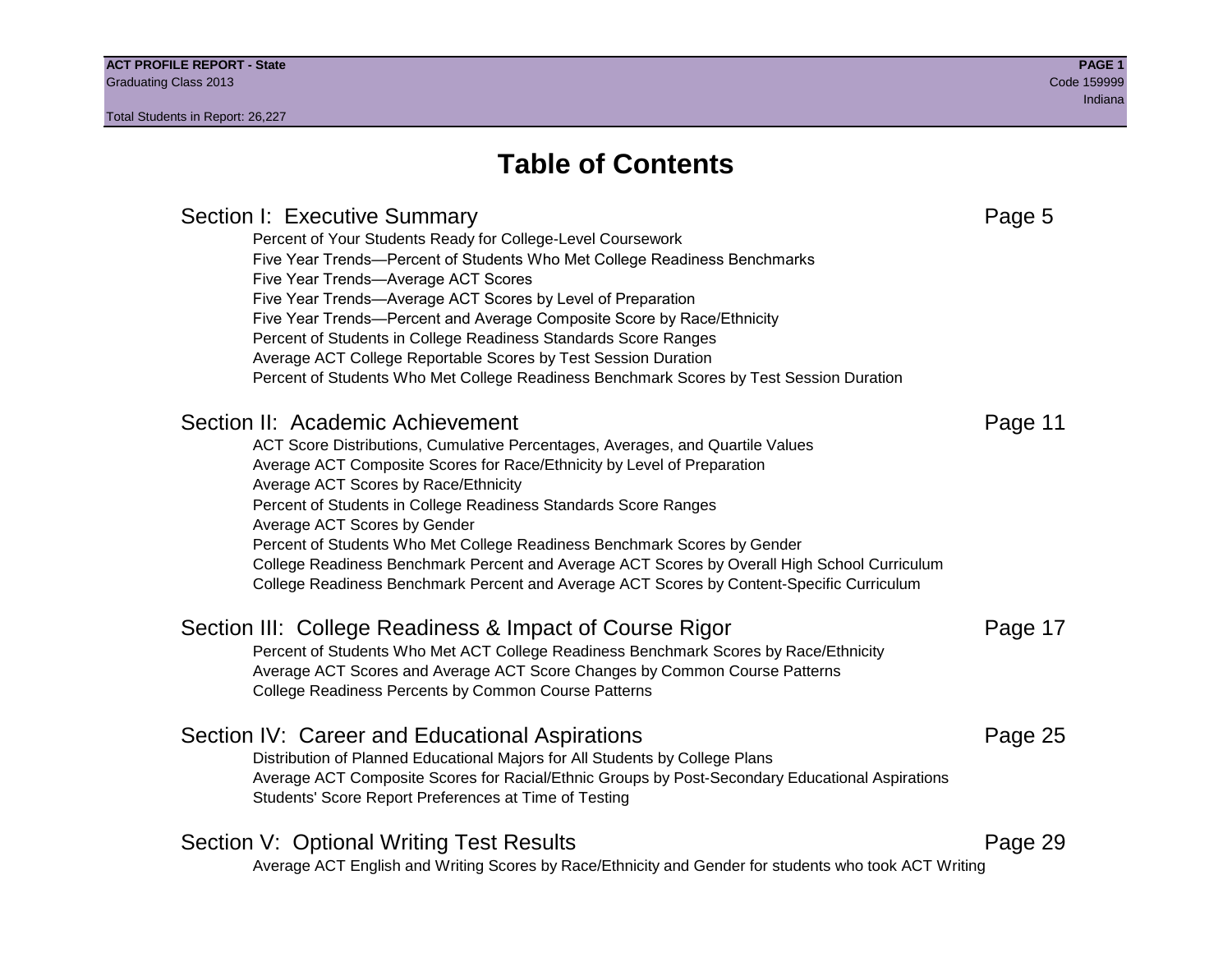### **Table of Contents**

Section I: Executive Summary **Page 5** and the section I: Executive Summary Percent of Your Students Ready for College-Level Coursework Five Year Trends—Percent of Students Who Met College Readiness Benchmarks Five Year Trends—Average ACT Scores Five Year Trends—Average ACT Scores by Level of Preparation Five Year Trends—Percent and Average Composite Score by Race/Ethnicity Percent of Students in College Readiness Standards Score Ranges Average ACT College Reportable Scores by Test Session Duration Percent of Students Who Met College Readiness Benchmark Scores by Test Session Duration Section II: Academic Achievement **Page 11** Academic Achievement ACT Score Distributions, Cumulative Percentages, Averages, and Quartile Values Average ACT Composite Scores for Race/Ethnicity by Level of Preparation Average ACT Scores by Race/Ethnicity Percent of Students in College Readiness Standards Score Ranges Average ACT Scores by Gender Percent of Students Who Met College Readiness Benchmark Scores by Gender College Readiness Benchmark Percent and Average ACT Scores by Overall High School Curriculum College Readiness Benchmark Percent and Average ACT Scores by Content-Specific Curriculum Section III: College Readiness & Impact of Course Rigor Page 17 Percent of Students Who Met ACT College Readiness Benchmark Scores by Race/Ethnicity Average ACT Scores and Average ACT Score Changes by Common Course Patterns College Readiness Percents by Common Course Patterns Section IV: Career and Educational Aspirations **Page 25** Page 25 Distribution of Planned Educational Majors for All Students by College Plans Average ACT Composite Scores for Racial/Ethnic Groups by Post-Secondary Educational Aspirations Students' Score Report Preferences at Time of Testing Section V: Optional Writing Test Results **Page 29** Page 29 Average ACT English and Writing Scores by Race/Ethnicity and Gender for students who took ACT Writing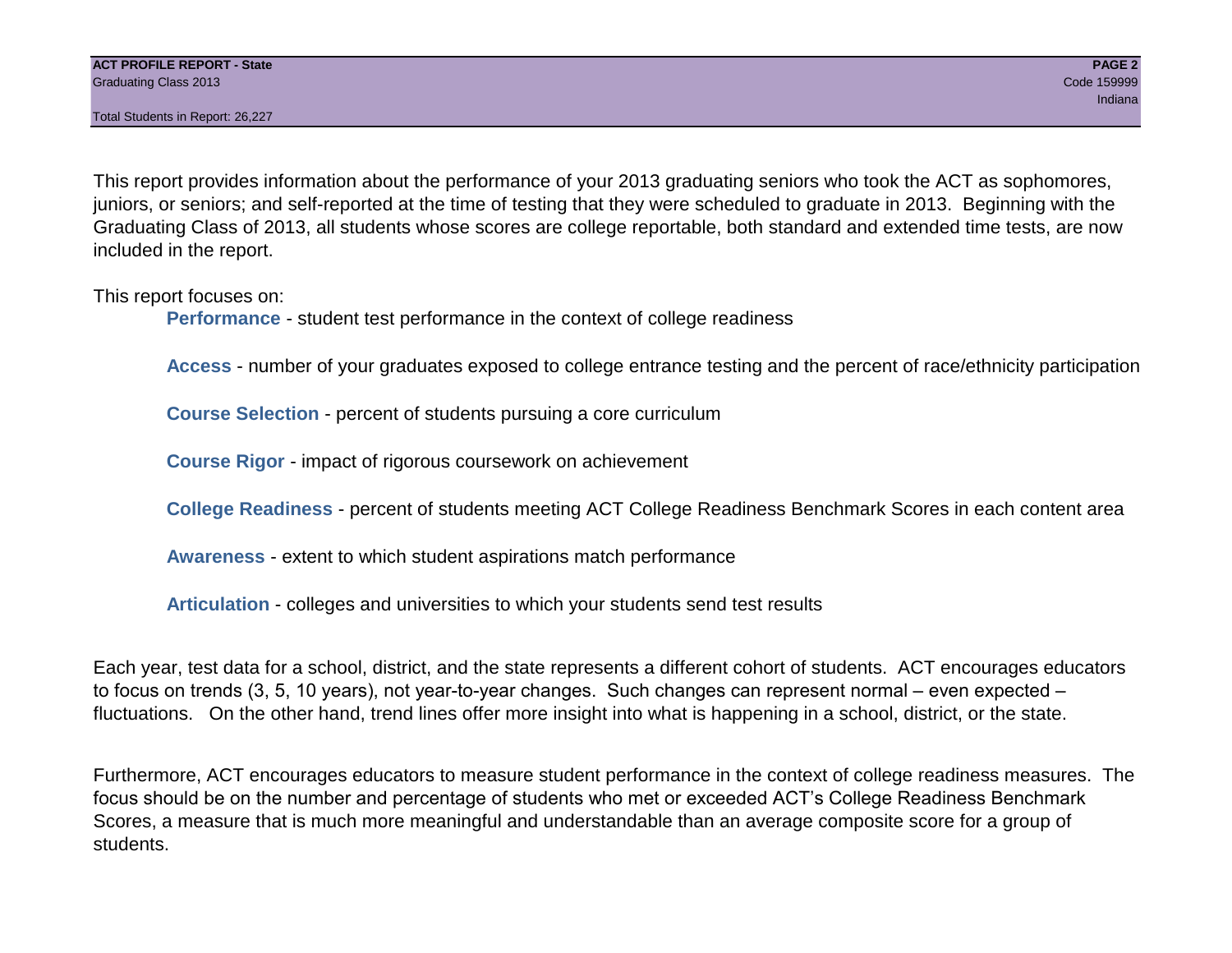This report provides information about the performance of your 2013 graduating seniors who took the ACT as sophomores, juniors, or seniors; and self-reported at the time of testing that they were scheduled to graduate in 2013. Beginning with the Graduating Class of 2013, all students whose scores are college reportable, both standard and extended time tests, are now included in the report.

This report focuses on:

**Performance** - student test performance in the context of college readiness

**Access** - number of your graduates exposed to college entrance testing and the percent of race/ethnicity participation

**Course Selection** - percent of students pursuing a core curriculum

**Course Rigor** - impact of rigorous coursework on achievement

**College Readiness** - percent of students meeting ACT College Readiness Benchmark Scores in each content area

**Awareness** - extent to which student aspirations match performance

**Articulation** - colleges and universities to which your students send test results

Each year, test data for a school, district, and the state represents a different cohort of students. ACT encourages educators to focus on trends (3, 5, 10 years), not year-to-year changes. Such changes can represent normal – even expected – fluctuations. On the other hand, trend lines offer more insight into what is happening in a school, district, or the state.

Furthermore, ACT encourages educators to measure student performance in the context of college readiness measures. The focus should be on the number and percentage of students who met or exceeded ACT's College Readiness Benchmark Scores, a measure that is much more meaningful and understandable than an average composite score for a group of students.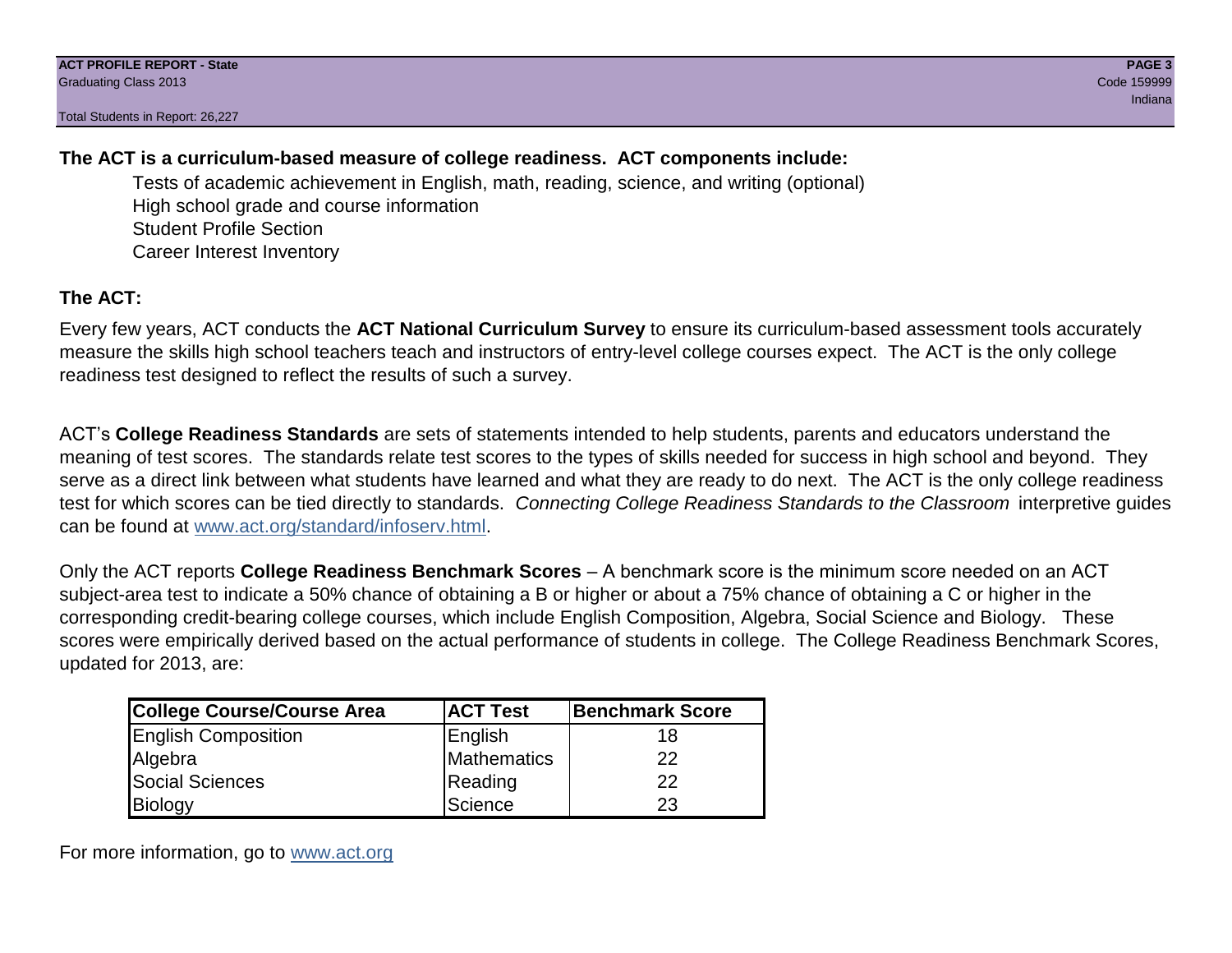#### **The ACT is a curriculum-based measure of college readiness. ACT components include:**

Tests of academic achievement in English, math, reading, science, and writing (optional) High school grade and course information Student Profile Section Career Interest Inventory

#### **The ACT:**

Every few years, ACT conducts the **ACT National Curriculum Survey** to ensure its curriculum-based assessment tools accurately measure the skills high school teachers teach and instructors of entry-level college courses expect. The ACT is the only college readiness test designed to reflect the results of such a survey.

ACT's **College Readiness Standards** are sets of statements intended to help students, parents and educators understand the meaning of test scores. The standards relate test scores to the types of skills needed for success in high school and beyond. They serve as a direct link between what students have learned and what they are ready to do next. The ACT is the only college readiness test for which scores can be tied directly to standards. *Connecting College Readiness Standards to the Classroom* interpretive guides can be found at www.act.org/standard/infoserv.html.

Only the ACT reports **College Readiness Benchmark Scores** – A benchmark score is the minimum score needed on an ACT subject-area test to indicate a 50% chance of obtaining a B or higher or about a 75% chance of obtaining a C or higher in the corresponding credit-bearing college courses, which include English Composition, Algebra, Social Science and Biology. These scores were empirically derived based on the actual performance of students in college. The College Readiness Benchmark Scores, updated for 2013, are:

| <b>College Course/Course Area</b> | <b>ACT Test</b> | Benchmark Score |
|-----------------------------------|-----------------|-----------------|
| <b>English Composition</b>        | English         | 18              |
| Algebra                           | Mathematics     | 22              |
| <b>Social Sciences</b>            | Reading         | 22              |
| Biology                           | Science         | 23              |

For more information, go to www.act.org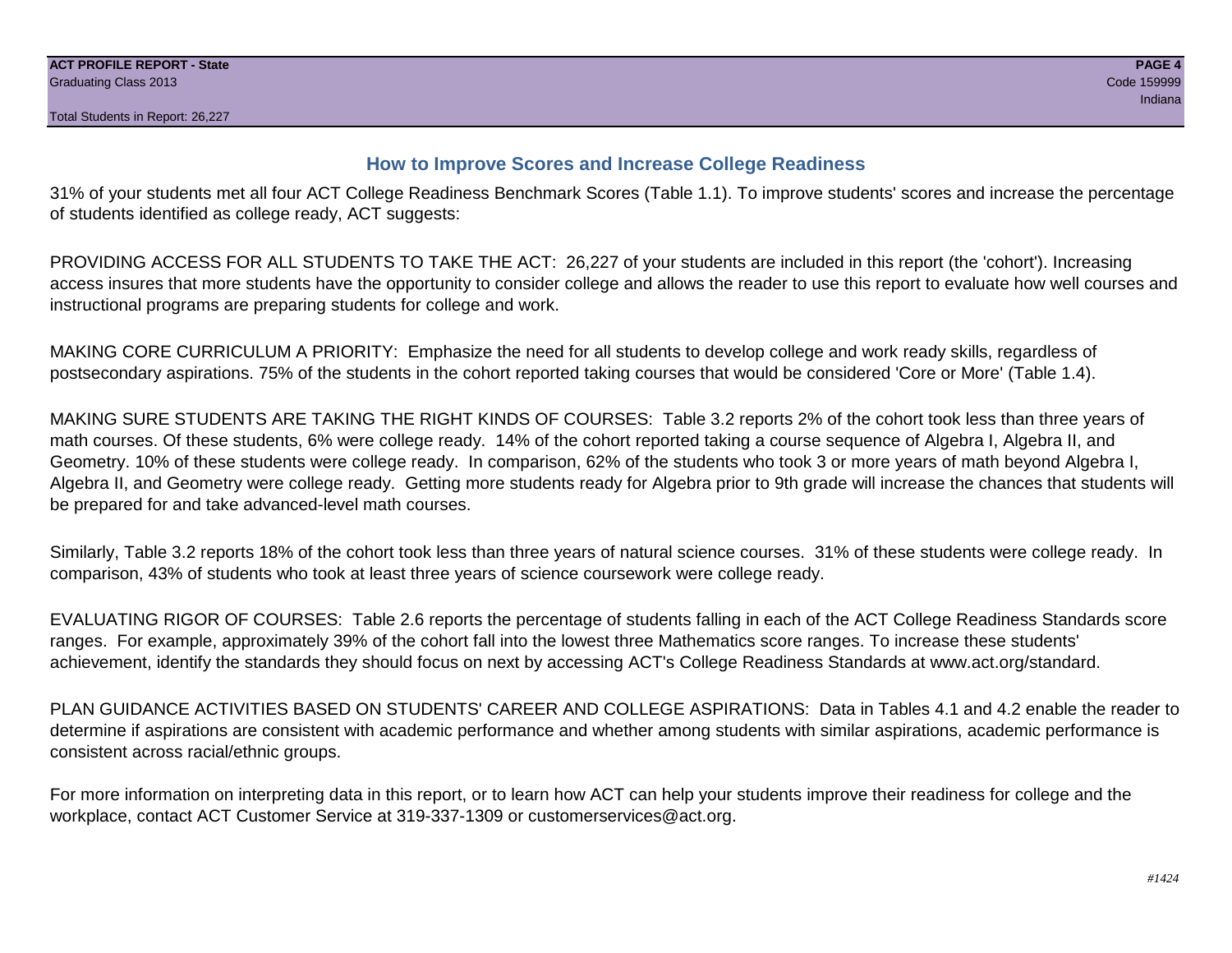#### **How to Improve Scores and Increase College Readiness**

31% of your students met all four ACT College Readiness Benchmark Scores (Table 1.1). To improve students' scores and increase the percentage of students identified as college ready, ACT suggests:

PROVIDING ACCESS FOR ALL STUDENTS TO TAKE THE ACT: 26,227 of your students are included in this report (the 'cohort'). Increasing access insures that more students have the opportunity to consider college and allows the reader to use this report to evaluate how well courses and instructional programs are preparing students for college and work.

MAKING CORE CURRICULUM A PRIORITY: Emphasize the need for all students to develop college and work ready skills, regardless of postsecondary aspirations. 75% of the students in the cohort reported taking courses that would be considered 'Core or More' (Table 1.4).

MAKING SURE STUDENTS ARE TAKING THE RIGHT KINDS OF COURSES: Table 3.2 reports 2% of the cohort took less than three years of math courses. Of these students, 6% were college ready. 14% of the cohort reported taking a course sequence of Algebra I, Algebra II, and Geometry. 10% of these students were college ready. In comparison, 62% of the students who took 3 or more years of math beyond Algebra I, Algebra II, and Geometry were college ready. Getting more students ready for Algebra prior to 9th grade will increase the chances that students will be prepared for and take advanced-level math courses.

Similarly, Table 3.2 reports 18% of the cohort took less than three years of natural science courses. 31% of these students were college ready. In comparison, 43% of students who took at least three years of science coursework were college ready.

EVALUATING RIGOR OF COURSES: Table 2.6 reports the percentage of students falling in each of the ACT College Readiness Standards score ranges. For example, approximately 39% of the cohort fall into the lowest three Mathematics score ranges. To increase these students' achievement, identify the standards they should focus on next by accessing ACT's College Readiness Standards at www.act.org/standard.

PLAN GUIDANCE ACTIVITIES BASED ON STUDENTS' CAREER AND COLLEGE ASPIRATIONS: Data in Tables 4.1 and 4.2 enable the reader to determine if aspirations are consistent with academic performance and whether among students with similar aspirations, academic performance is consistent across racial/ethnic groups.

For more information on interpreting data in this report, or to learn how ACT can help your students improve their readiness for college and the workplace, contact ACT Customer Service at 319-337-1309 or customerservices@act.org.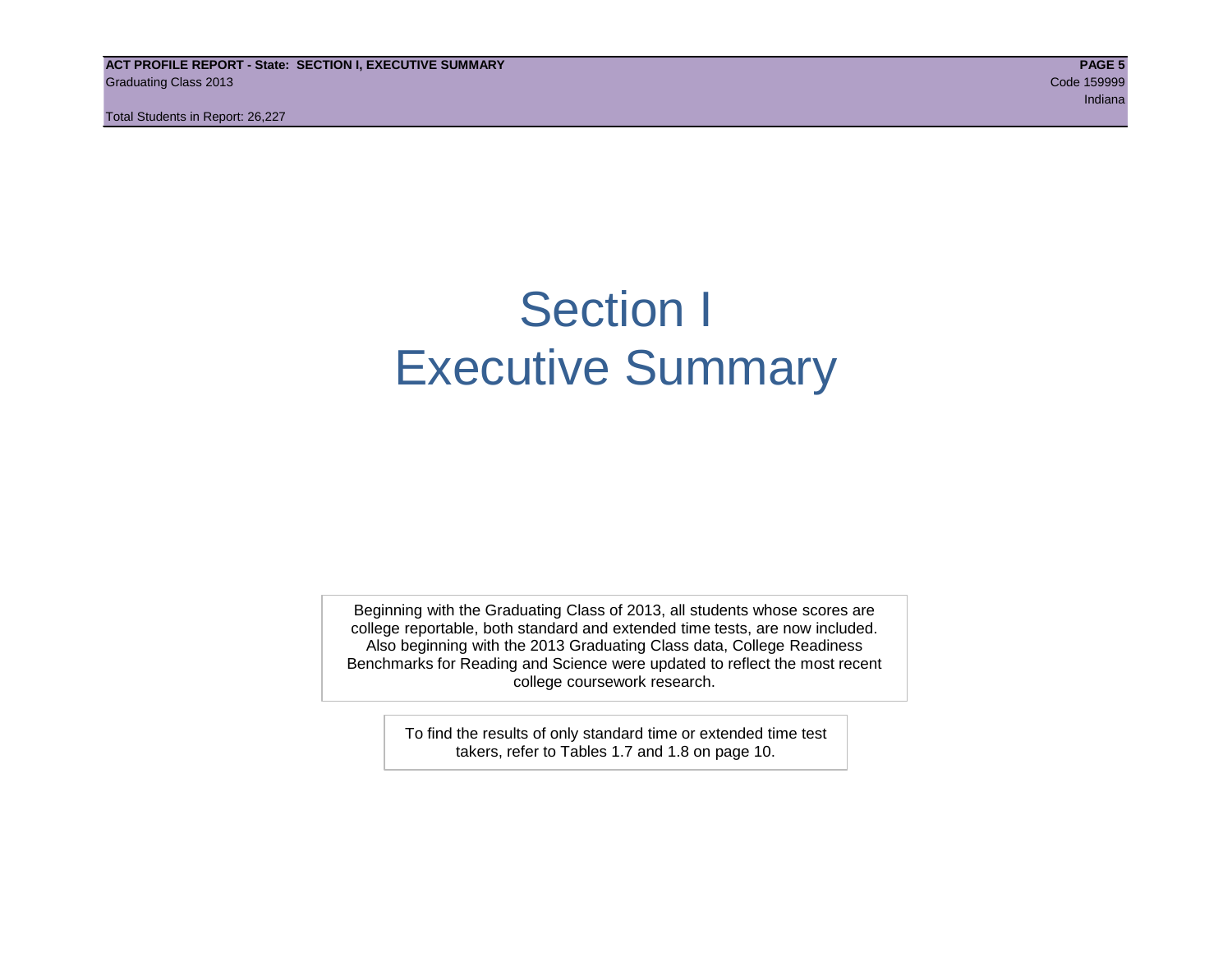**ACT PROFILE REPORT - State: SECTION I, EXECUTIVE SUMMARY PAGE 5** Graduating Class 2013 Code 159999

Total Students in Report: 26,227

ing the control of the control of the control of the control of the control of the control of the control of the control of the control of the control of the control of the control of the control of the control of the cont

### Section I Executive Summary

Beginning with the Graduating Class of 2013, all students whose scores are college reportable, both standard and extended time tests, are now included. Also beginning with the 2013 Graduating Class data, College Readiness Benchmarks for Reading and Science were updated to reflect the most recent college coursework research.

> To find the results of only standard time or extended time test takers, refer to Tables 1.7 and 1.8 on page 10.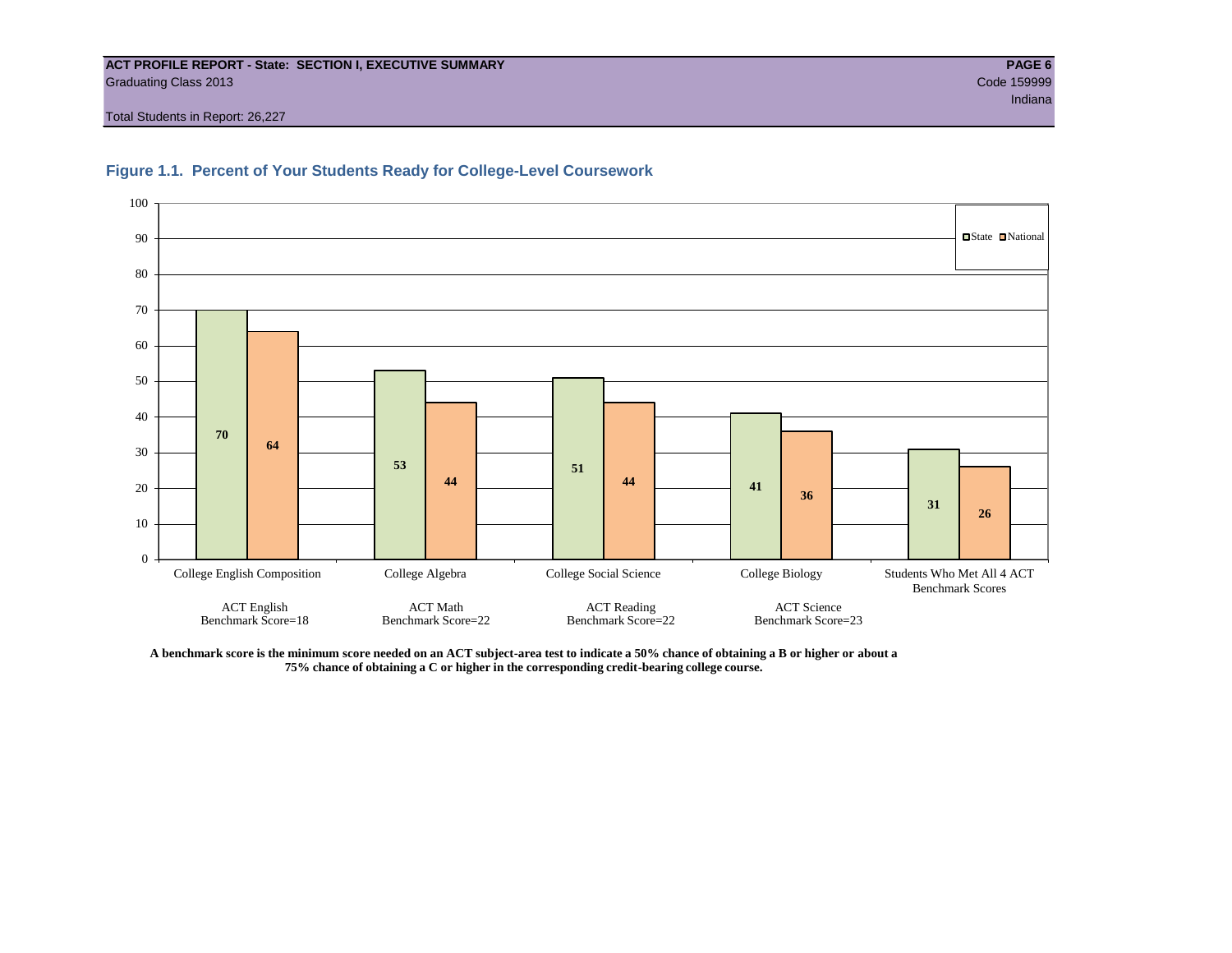#### **ACT PROFILE REPORT - State: SECTION I, EXECUTIVE SUMMARY PAGE 6** Graduating Class 2013 Code 159999

Total Students in Report: 26,227





**A benchmark score is the minimum score needed on an ACT subject-area test to indicate a 50% chance of obtaining a B or higher or about a 75% chance of obtaining a C or higher in the corresponding credit-bearing college course.**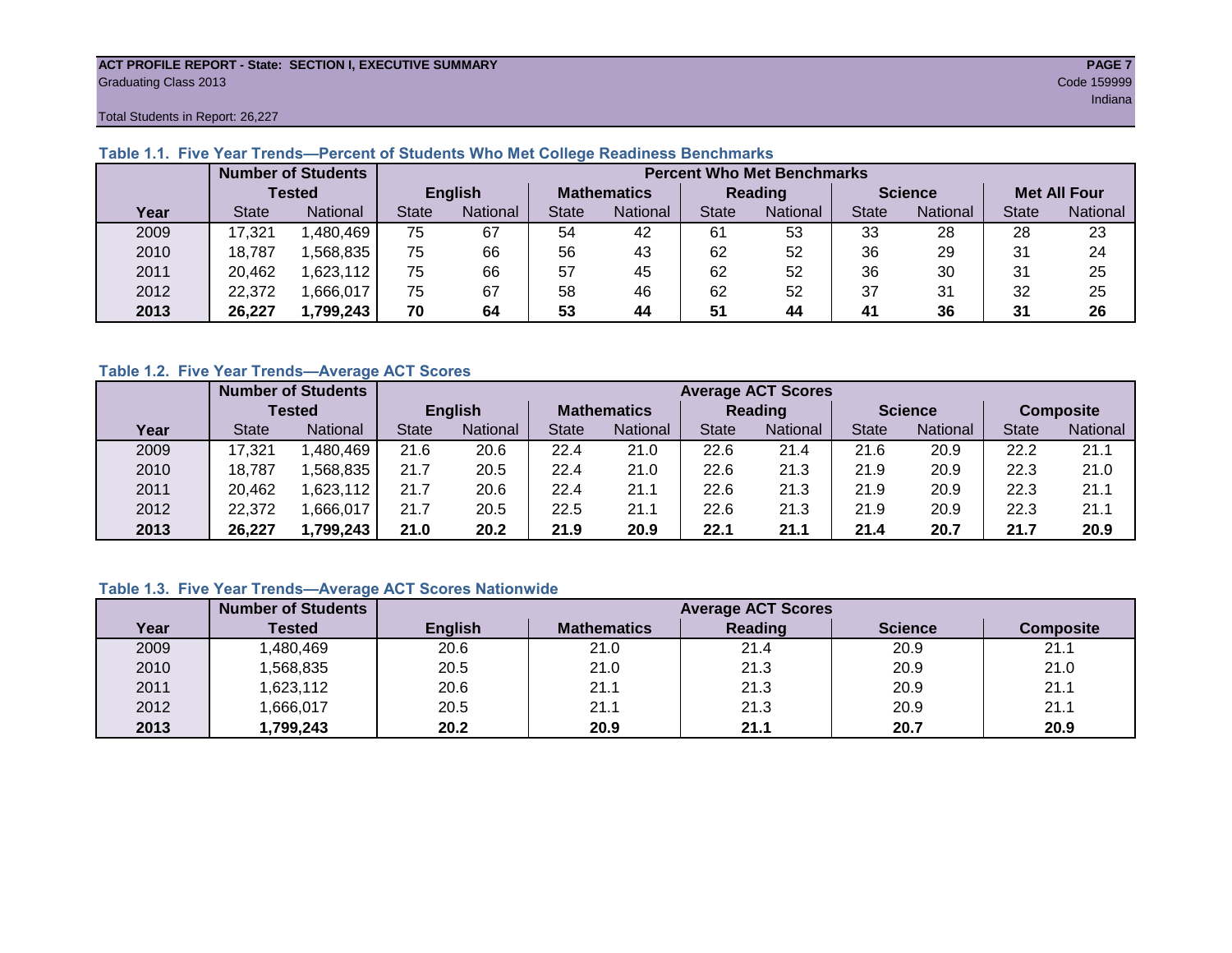#### **ACT PROFILE REPORT - State: SECTION I, EXECUTIVE SUMMARY PAGE 7** Graduating Class 2013 Code 159999

in a bha an t-ainm an t-ainm an t-ainm an t-ainm an t-ainm an t-ainm an t-ainm an t-ainm an t-ainm an t-ainm a

Total Students in Report: 26,227

|      |              | <b>Number of Students</b> |                | <b>Percent Who Met Benchmarks</b> |                    |          |              |                 |                |          |                     |          |  |  |
|------|--------------|---------------------------|----------------|-----------------------------------|--------------------|----------|--------------|-----------------|----------------|----------|---------------------|----------|--|--|
|      |              | <b>Tested</b>             | <b>English</b> |                                   | <b>Mathematics</b> |          | Reading      |                 | <b>Science</b> |          | <b>Met All Four</b> |          |  |  |
| Year | <b>State</b> | <b>National</b>           | State          | National                          | State              | National | <b>State</b> | <b>National</b> | <b>State</b>   | National | <b>State</b>        | National |  |  |
| 2009 | 17,321       | .480,469                  | 75             | 67                                | 54                 | 42       | -61          | 53              | 33             | 28       | 28                  | 23       |  |  |
| 2010 | 18,787       | .568,835                  | 75             | 66                                | 56                 | 43       | 62           | 52              | 36             | 29       | 31                  | 24       |  |  |
| 2011 | 20,462       | 623,112                   | 75             | 66                                | 57                 | 45       | 62           | 52              | 36             | 30       | 31                  | 25       |  |  |
| 2012 | 22,372       | .666,017                  | 75             | 67                                | 58                 | 46       | 62           | 52              | 37             | 31       | 32                  | 25       |  |  |
| 2013 | 26,227       | 1,799,243                 | 70             | 64                                | 53                 | 44       | 51           | 44              | 41             | 36       | 31                  | 26       |  |  |

#### **Table 1.1. Five Year Trends—Percent of Students Who Met College Readiness Benchmarks**

#### **Table 1.2. Five Year Trends—Average ACT Scores**

|      |              | <b>Number of Students</b> |              |                 |                    | <b>Average ACT Scores</b> |                |                 |                |          |                  |          |  |  |
|------|--------------|---------------------------|--------------|-----------------|--------------------|---------------------------|----------------|-----------------|----------------|----------|------------------|----------|--|--|
|      |              | Tested                    |              | <b>English</b>  | <b>Mathematics</b> |                           | <b>Reading</b> |                 | <b>Science</b> |          | <b>Composite</b> |          |  |  |
| Year | <b>State</b> | National                  | <b>State</b> | <b>National</b> | <b>State</b>       | <b>National</b>           | <b>State</b>   | <b>National</b> | <b>State</b>   | National | <b>State</b>     | National |  |  |
| 2009 | 17,321       | .480.469                  | 21.6         | 20.6            | 22.4               | 21.0                      | 22.6           | 21.4            | 21.6           | 20.9     | 22.2             | 21.1     |  |  |
| 2010 | 18,787       | .568.835                  | 21.7         | 20.5            | 22.4               | 21.0                      | 22.6           | 21.3            | 21.9           | 20.9     | 22.3             | 21.0     |  |  |
| 2011 | 20,462       | ,623,112                  | 21.7         | 20.6            | 22.4               | 21.1                      | 22.6           | 21.3            | 21.9           | 20.9     | 22.3             | 21.1     |  |  |
| 2012 | 22,372       | .666.017                  | 21.7         | 20.5            | 22.5               | 21.1                      | 22.6           | 21.3            | 21.9           | 20.9     | 22.3             | 21.1     |  |  |
| 2013 | 26,227       | 1,799,243                 | 21.0         | 20.2            | 21.9               | 20.9                      | 22.1           | 21.1            | 21.4           | 20.7     | 21.7             | 20.9     |  |  |

#### **Table 1.3. Five Year Trends—Average ACT Scores Nationwide**

|      | <b>Number of Students</b> |                | <b>Average ACT Scores</b> |         |                |                  |  |  |  |  |  |  |
|------|---------------------------|----------------|---------------------------|---------|----------------|------------------|--|--|--|--|--|--|
| Year | Tested                    | <b>English</b> | <b>Mathematics</b>        | Reading | <b>Science</b> | <b>Composite</b> |  |  |  |  |  |  |
| 2009 | ,480,469                  | 20.6           | 21.0                      | 21.4    | 20.9           | 21.1             |  |  |  |  |  |  |
| 2010 | ,568,835                  | 20.5           | 21.0                      | 21.3    | 20.9           | 21.0             |  |  |  |  |  |  |
| 2011 | ,623,112                  | 20.6           | 21.1                      | 21.3    | 20.9           | 21.1             |  |  |  |  |  |  |
| 2012 | ,666,017                  | 20.5           | 21.1                      | 21.3    | 20.9           | 21.1             |  |  |  |  |  |  |
| 2013 | 1,799,243                 | 20.2           | 20.9                      | 21.1    | 20.7           | 20.9             |  |  |  |  |  |  |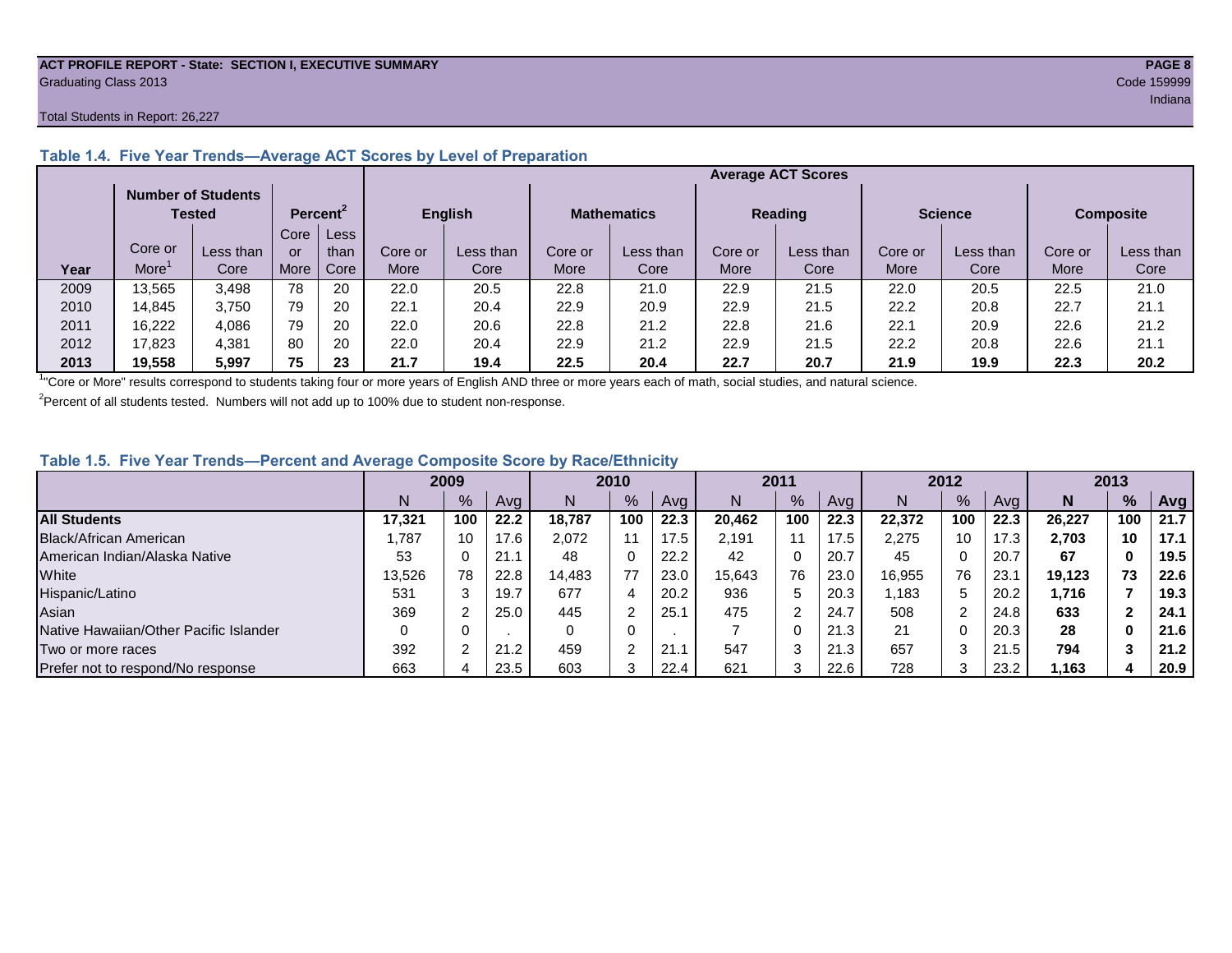#### **ACT PROFILE REPORT - State: SECTION I, EXECUTIVE SUMMARY PAGE 8** Graduating Class 2013 Code 159999

#### Total Students in Report: 26,227

|      |             | <b>Number of Students</b><br><b>Tested</b> |      | Percent <sup>2</sup> |         | <b>Enalish</b> |         | <b>Mathematics</b> |         | <b>Reading</b> |         | <b>Science</b> | <b>Composite</b> |           |
|------|-------------|--------------------------------------------|------|----------------------|---------|----------------|---------|--------------------|---------|----------------|---------|----------------|------------------|-----------|
|      |             |                                            | Core | Less                 |         |                |         |                    |         |                |         |                |                  |           |
|      | Core or     | Less than                                  | or   | than                 | Core or | Less than      | Core or | Less than          | Core or | Less than      | Core or | Less than      | Core or          | Less than |
| Year | <b>More</b> | Core                                       | More | Core                 | More    | Core           | More    | Core               | More    | Core           | More    | Core           | More             | Core      |
| 2009 | 13,565      | 3.498                                      | 78   | 20                   | 22.0    | 20.5           | 22.8    | 21.0               | 22.9    | 21.5           | 22.0    | 20.5           | 22.5             | 21.0      |
| 2010 | 14.845      | 3.750                                      | 79   | 20                   | 22.1    | 20.4           | 22.9    | 20.9               | 22.9    | 21.5           | 22.2    | 20.8           | 22.7             | 21.1      |
| 2011 | 16,222      | 4,086                                      | 79   | 20                   | 22.0    | 20.6           | 22.8    | 21.2               | 22.8    | 21.6           | 22.1    | 20.9           | 22.6             | 21.2      |
| 2012 | 17.823      | 4.381                                      | 80   | 20                   | 22.0    | 20.4           | 22.9    | 21.2               | 22.9    | 21.5           | 22.2    | 20.8           | 22.6             | 21.1      |
| 2013 | 19.558      | 5.997                                      | 75   | 23                   | 21.7    | 19.4           | 22.5    | 20.4               | 22.7    | 20.7           | 21.9    | 19.9           | 22.3             | 20.2      |

#### **Table 1.4. Five Year Trends—Average ACT Scores by Level of Preparation**

<sup>1</sup>"Core or More" results correspond to students taking four or more years of English AND three or more years each of math, social studies, and natural science.

 $2$ Percent of all students tested. Numbers will not add up to 100% due to student non-response.

#### **Table 1.5. Five Year Trends—Percent and Average Composite Score by Race/Ethnicity**

|                                        | 2009   |     | 2010 |        | 2011          |      | 2012   |         |      | 2013   |              |      |        |     |      |
|----------------------------------------|--------|-----|------|--------|---------------|------|--------|---------|------|--------|--------------|------|--------|-----|------|
|                                        | N      | %   | Avg  | N      | $\frac{9}{6}$ | Avg  | N      | %       | Avg  | Ν      | %            | Ava  | N      | %   | Avg  |
| <b>All Students</b>                    | 17.321 | 100 | 22.2 | 18.787 | 100           | 22.3 | 20.462 | 100     | 22.3 | 22,372 | 100          | 22.3 | 26.227 | 100 | 21.7 |
| Black/African American                 | .787   | 10  | 17.6 | 2,072  | 11            | 17.5 | 2.191  |         | 17.5 | 2,275  | 10           | 17.3 | 2.703  | 10  | 17.1 |
| American Indian/Alaska Native          | 53     |     | 21.  | 48     | 0             | 22.2 | 42     | 0       | 20.7 | 45     | 0            | 20.7 | 67     | 0   | 19.5 |
| White                                  | 13,526 | 78  | 22.8 | 14.483 | 77            | 23.0 | 15,643 | 76      | 23.0 | 16.955 | 76           | 23.7 | 19.123 | 73  | 22.6 |
| Hispanic/Latino                        | 531    |     | 19.7 | 677    | 4             | 20.2 | 936    | 5       | 20.3 | .183   | $\mathbf{D}$ | 20.2 | 1,716  |     | 19.3 |
| Asian                                  | 369    |     | 25.0 | 445    | ⌒             | 25.1 | 475    | 2       | 24.7 | 508    | າ            | 24.8 | 633    |     | 24.1 |
| Native Hawaiian/Other Pacific Islander |        |     |      |        | 0             |      |        | 0       | 21.3 | 21     | 0            | 20.3 | 28     | 0   | 21.6 |
| Two or more races                      | 392    |     | 21.2 | 459    | $\sim$        | 21.7 | 547    | 3       | 21.3 | 657    | ◠            | 21.5 | 794    |     | 21.2 |
| Prefer not to respond/No response      | 663    |     | 23.5 | 603    |               | 22.4 | 621    | ົ<br>د. | 22.6 | 728    | 3            | 23.2 | 1,163  | д   | 20.9 |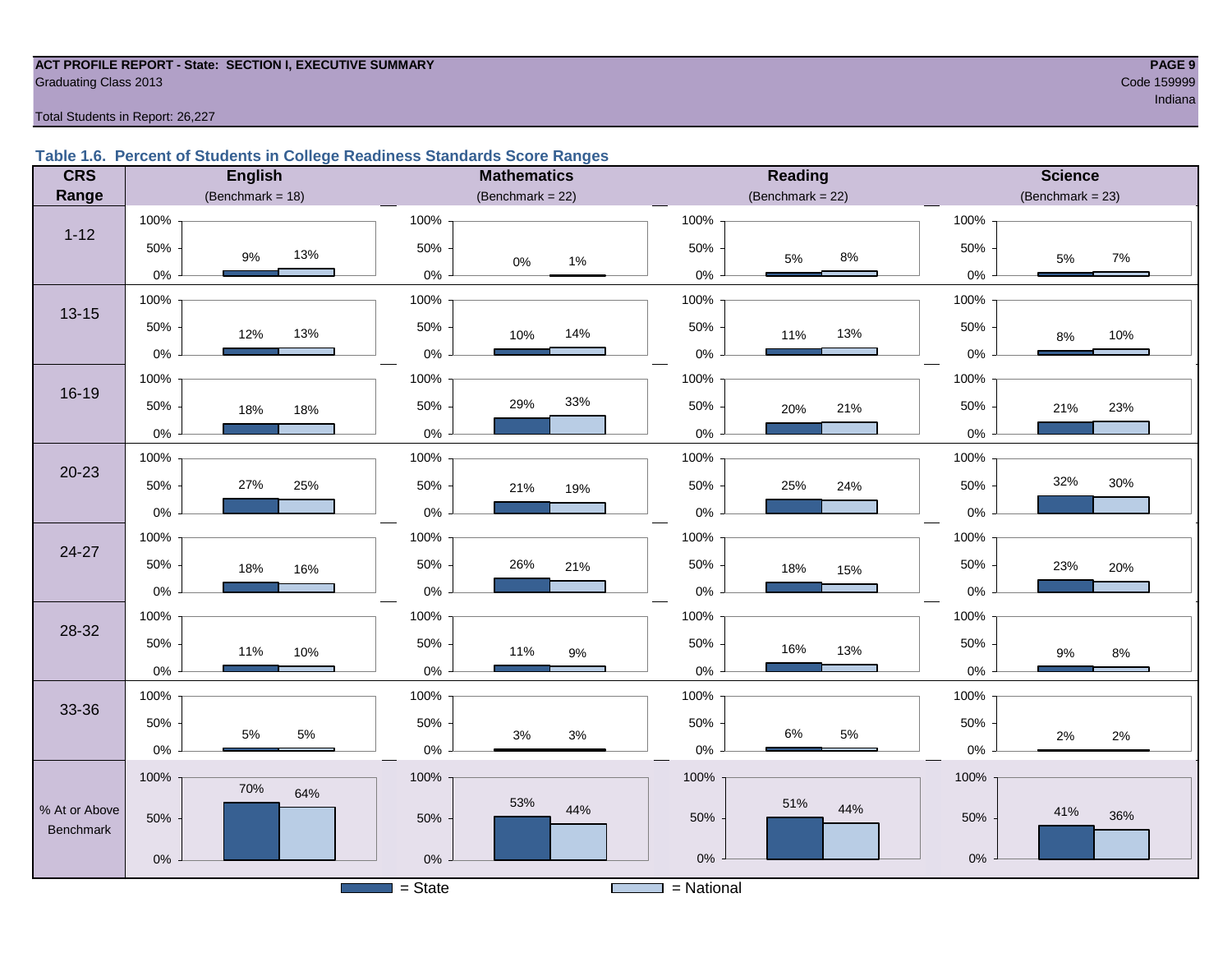#### **ACT PROFILE REPORT - State: SECTION I, EXECUTIVE SUMMARY PAGE 9 Graduating Class 2013** Code 159999

ing the control of the control of the control of the control of the control of the control of the control of the control of the control of the control of the control of the control of the control of the control of the cont

Total Students in Report: 26,227

#### **Table 1.6. Percent of Students in College Readiness Standards Score Ranges**

| <b>CRS</b>                        | <b>English</b>                     | <b>Mathematics</b>                    | Reading                            | <b>Science</b>                     |
|-----------------------------------|------------------------------------|---------------------------------------|------------------------------------|------------------------------------|
| Range                             | (Benchmark = $18$ )                | (Benchmark = $22$ )                   | $(Benchmark = 22)$                 | (Benchmark = $23$ )                |
| $1 - 12$                          | 100%                               | 100%                                  | 100%                               | 100%                               |
|                                   | 50%                                | 50%                                   | 50%                                | 50%                                |
|                                   | 13%                                | $0\%$                                 | 8%                                 | 7%                                 |
|                                   | 9%                                 | $1\%$                                 | $5\%$                              | 5%                                 |
| $13 - 15$                         | 0%                                 | $0\%$                                 | 0%                                 | 0%                                 |
|                                   | 100%                               | 100%                                  | 100%                               | 100%                               |
|                                   | 50%                                | 50%                                   | 50%                                | 50%                                |
|                                   | 13%                                | 14%                                   | 13%                                | 10%                                |
|                                   | 12%                                | 10%                                   | 11%                                | $8\%$                              |
| 16-19                             | $0\%$                              | $0\%$                                 | $0\%$                              | $0\%$                              |
|                                   | 100%                               | 100%                                  | 100%                               | 100%                               |
|                                   | 50%                                | 33%                                   | 50%                                | 50%                                |
|                                   | 18%                                | 29%                                   | 21%                                | 23%                                |
|                                   | 18%                                | 50%                                   | 20%                                | 21%                                |
|                                   | $0\%$                              | 0%                                    | $0\%$                              | $0\%$                              |
| $20 - 23$                         | 100%                               | 100%                                  | 100%                               | 100%                               |
|                                   | 27%                                | 50%                                   | 50%                                | 32%                                |
|                                   | 50%                                | 21%                                   | 25%                                | $30\%$                             |
|                                   | 25%                                | 19%                                   | 24%                                | 50%                                |
|                                   | $0\%$                              | 0%                                    | $0\%$                              | $0\%$                              |
| $24 - 27$                         | 100%                               | 100%                                  | 100%                               | 100%                               |
|                                   | 50%                                | 50%                                   | 50%                                | 50%                                |
|                                   | 18%                                | 26%                                   | 18%                                | 23%                                |
|                                   | 16%                                | 21%                                   | 15%                                | 20%                                |
|                                   | $0\%$                              | $0\%$                                 | $0\%$                              | $0\%$                              |
| 28-32                             | 100%                               | 100%                                  | 100%                               | 100%                               |
|                                   | 50%                                | 50%                                   | 50%                                | 50%                                |
|                                   | 11%                                | 11%                                   | 16%                                | $9\%$                              |
|                                   | 10%                                | $9\%$                                 | 13%                                | $8\%$                              |
|                                   | $0\%$                              | $0\%$                                 | $0\%$                              | $0\%$                              |
| 33-36                             | 100%                               | 100%                                  | 100%                               | 100%                               |
|                                   | 50%                                | 50%                                   | 50%                                | 50%                                |
|                                   | $5\%$                              | $3%$                                  | $6\%$                              | 2%                                 |
|                                   | $5\%$                              | $3\%$                                 | 5%                                 | 2%                                 |
|                                   | $0\%$                              | 0%                                    | $0\%$                              | $0\%$                              |
| % At or Above<br><b>Benchmark</b> | 100%<br>70%<br>64%<br>50%<br>$0\%$ | 100%<br>53%<br>44%<br>50%<br>0%       | 100%<br>51%<br>44%<br>50%<br>$0\%$ | 100%<br>41%<br>36%<br>50%<br>$0\%$ |
|                                   |                                    | $=$ State<br><b>Contract Contract</b> | $=$ National                       |                                    |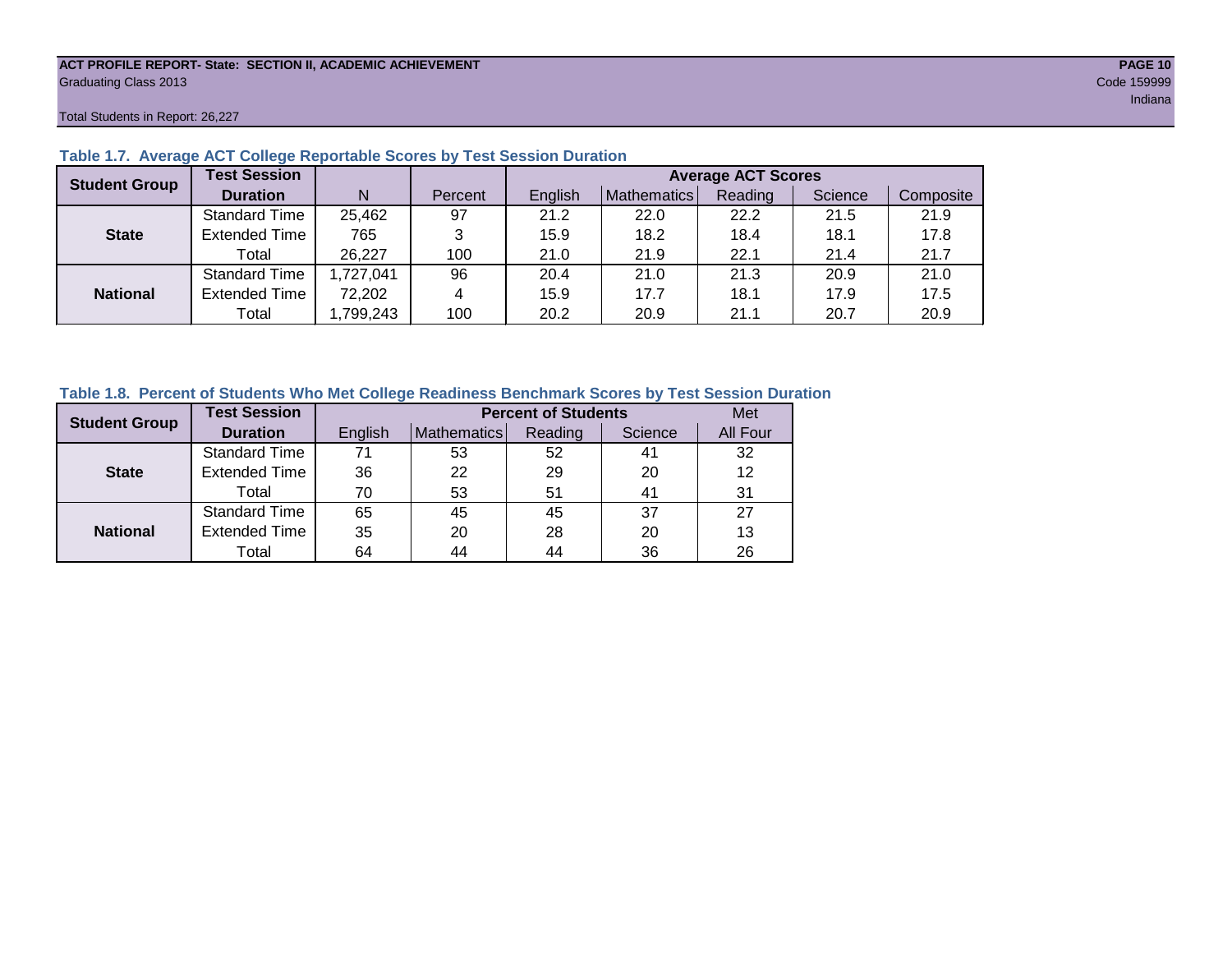#### **ACT PROFILE REPORT- State: SECTION II, ACADEMIC ACHIEVEMENT PAGE 10** Graduating Class 2013 Code 159999

Total Students in Report: 26,227

| <b>Student Group</b> | <b>Test Session</b>  |           |         |         |             | <b>Average ACT Scores</b> |         |           |
|----------------------|----------------------|-----------|---------|---------|-------------|---------------------------|---------|-----------|
|                      | <b>Duration</b>      | N         | Percent | English | Mathematics | Reading                   | Science | Composite |
|                      | <b>Standard Time</b> | 25,462    | 97      | 21.2    | 22.0        | 22.2                      | 21.5    | 21.9      |
| <b>State</b>         | <b>Extended Time</b> | 765       | 3       | 15.9    | 18.2        | 18.4                      | 18.1    | 17.8      |
|                      | Total                | 26,227    | 100     | 21.0    | 21.9        | 22.1                      | 21.4    | 21.7      |
|                      | <b>Standard Time</b> | 1,727,041 | 96      | 20.4    | 21.0        | 21.3                      | 20.9    | 21.0      |
| <b>National</b>      | <b>Extended Time</b> | 72,202    | 4       | 15.9    | 17.7        | 18.1                      | 17.9    | 17.5      |
|                      | Total                | ,799,243  | 100     | 20.2    | 20.9        | 21.1                      | 20.7    | 20.9      |

#### **Table 1.7. Average ACT College Reportable Scores by Test Session Duration**

#### **Table 1.8. Percent of Students Who Met College Readiness Benchmark Scores by Test Session Duration**

| <b>Student Group</b> | <b>Test Session</b>  |         | Met         |         |         |          |
|----------------------|----------------------|---------|-------------|---------|---------|----------|
|                      | <b>Duration</b>      | English | Mathematics | Reading | Science | All Four |
|                      | <b>Standard Time</b> | 71      | 53          | 52      | 41      | 32       |
| <b>State</b>         | <b>Extended Time</b> | 36      | 22          | 29      | 20      | 12       |
|                      | Total                | 70      | 53          | 51      | 41      | 31       |
|                      | <b>Standard Time</b> | 65      | 45          | 45      | 37      | 27       |
| <b>National</b>      | <b>Extended Time</b> | 35      | 20          | 28      | 20      | 13       |
|                      | Total                | 64      | 44          | 44      | 36      | 26       |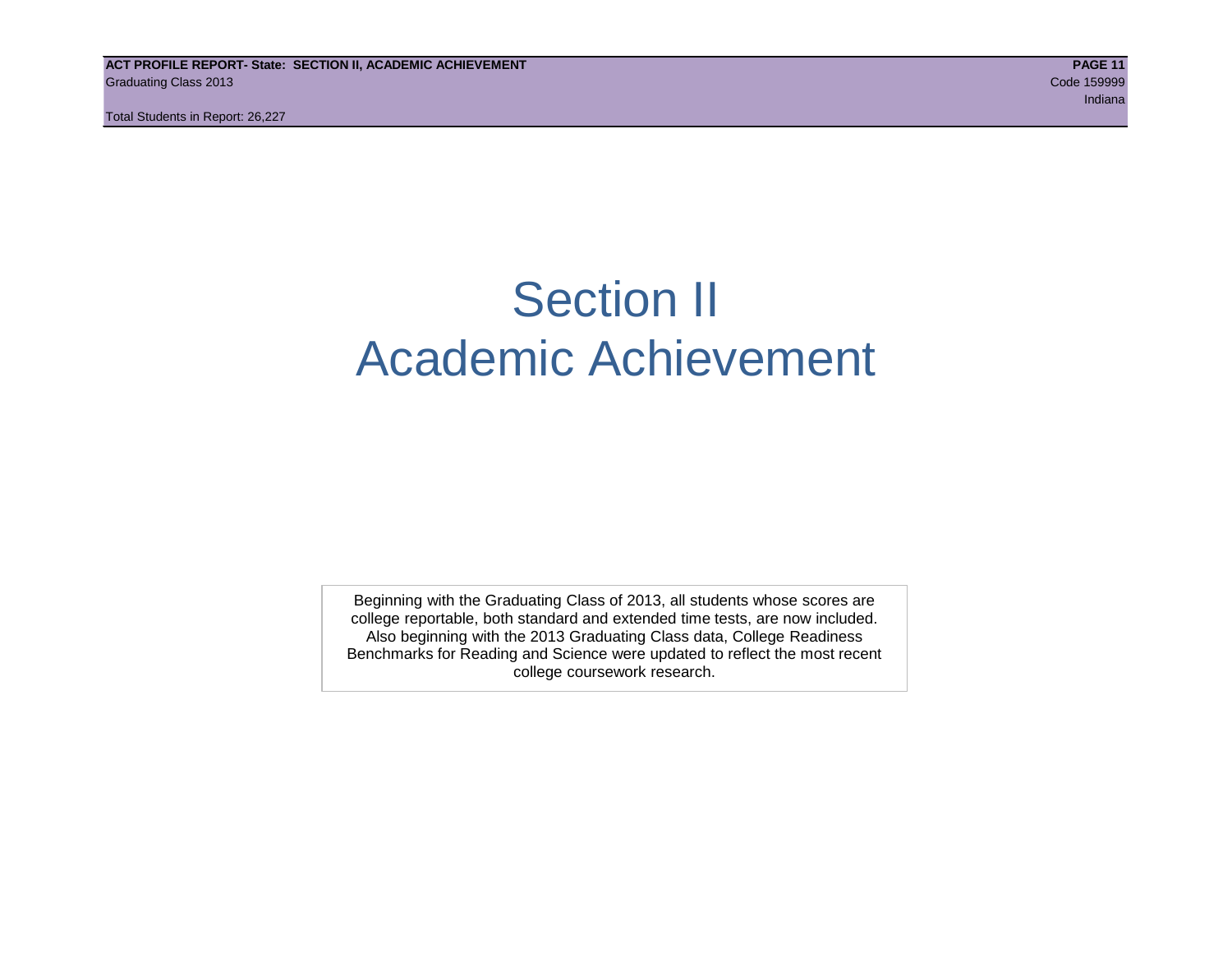## Section II Academic Achievement

Beginning with the Graduating Class of 2013, all students whose scores are college reportable, both standard and extended time tests, are now included. Also beginning with the 2013 Graduating Class data, College Readiness Benchmarks for Reading and Science were updated to reflect the most recent college coursework research.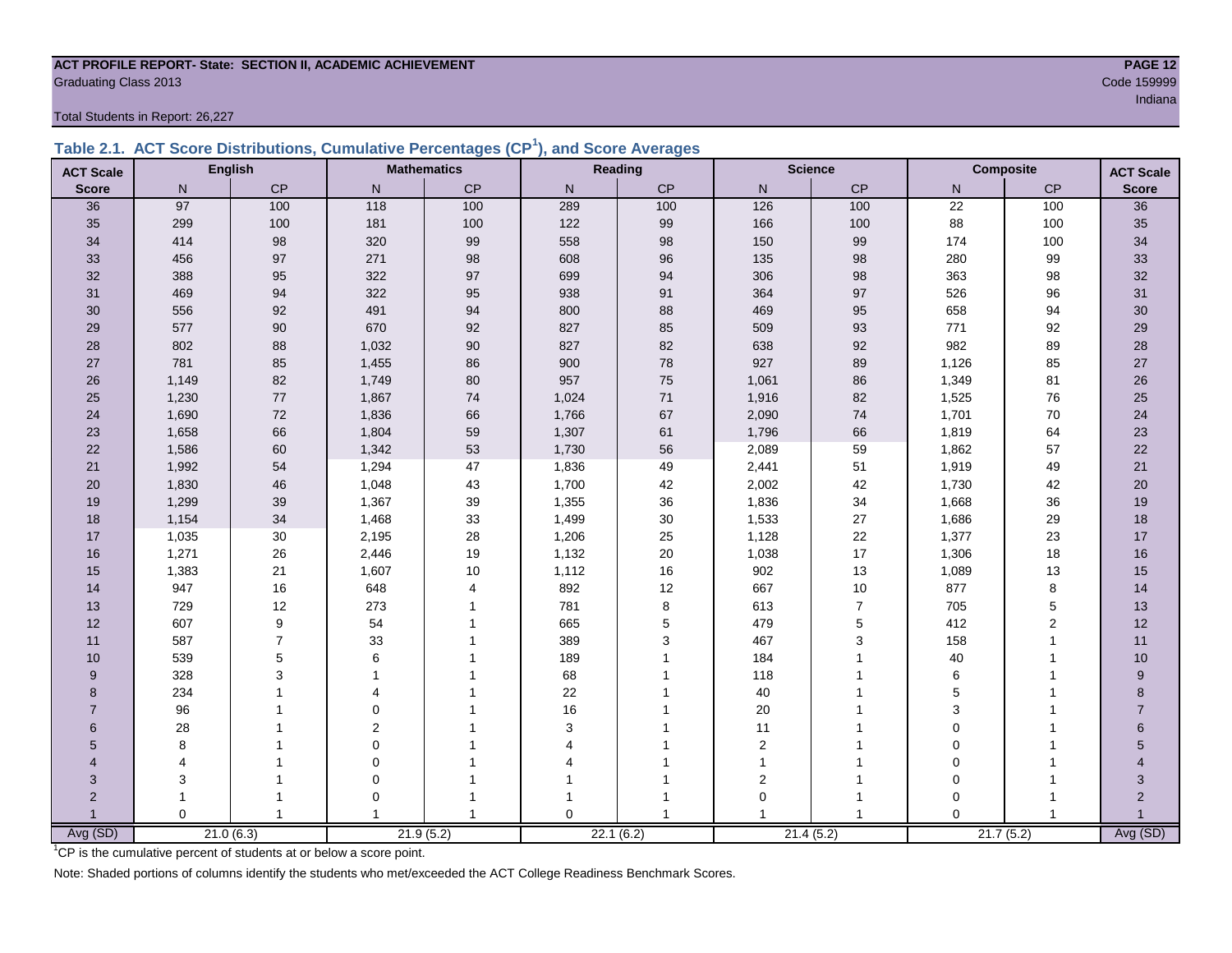#### **ACT PROFILE REPORT- State: SECTION II, ACADEMIC ACHIEVEMENT PAGE 12 Graduating Class 2013** Code 159999

Total Students in Report: 26,227

|  | Table 2.1. ACT Score Distributions, Cumulative Percentages (CP <sup>1</sup> ), and Score Averages |  |  |  |
|--|---------------------------------------------------------------------------------------------------|--|--|--|
|  |                                                                                                   |  |  |  |

| <b>ACT Scale</b> |          | <b>English</b> |                         | <b>Mathematics</b> |                | <b>Reading</b> |                | <b>Science</b> |                 | <b>Composite</b><br><b>ACT Scale</b> |                |
|------------------|----------|----------------|-------------------------|--------------------|----------------|----------------|----------------|----------------|-----------------|--------------------------------------|----------------|
| <b>Score</b>     | N        | CP             | $\mathsf{N}$            | $\mathsf{CP}$      | $\mathsf{N}$   | CP             | $\mathsf{N}$   | CP             | N               | $\mathsf{CP}$                        | <b>Score</b>   |
| 36               | 97       | 100            | $\frac{118}{118}$       | 100                | 289            | 100            | 126            | 100            | $\overline{22}$ | 100                                  | 36             |
| 35               | 299      | 100            | 181                     | 100                | 122            | 99             | 166            | 100            | 88              | 100                                  | 35             |
| 34               | 414      | 98             | 320                     | 99                 | 558            | 98             | 150            | 99             | 174             | 100                                  | 34             |
| 33               | 456      | 97             | 271                     | $98\,$             | 608            | 96             | 135            | 98             | 280             | 99                                   | 33             |
| 32               | 388      | 95             | 322                     | 97                 | 699            | 94             | 306            | 98             | 363             | 98                                   | 32             |
| 31               | 469      | 94             | 322                     | 95                 | 938            | 91             | 364            | 97             | 526             | 96                                   | 31             |
| 30               | 556      | 92             | 491                     | 94                 | 800            | 88             | 469            | 95             | 658             | 94                                   | 30             |
| 29               | 577      | 90             | 670                     | 92                 | 827            | 85             | 509            | 93             | 771             | 92                                   | 29             |
| 28               | 802      | 88             | 1,032                   | $90\,$             | 827            | 82             | 638            | 92             | 982             | 89                                   | $28\,$         |
| 27               | 781      | 85             | 1,455                   | 86                 | 900            | 78             | 927            | 89             | 1,126           | 85                                   | $27\,$         |
| 26               | 1,149    | 82             | 1,749                   | $80\,$             | 957            | 75             | 1,061          | 86             | 1,349           | 81                                   | $26\,$         |
| 25               | 1,230    | 77             | 1,867                   | $74$               | 1,024          | 71             | 1,916          | 82             | 1,525           | 76                                   | 25             |
| 24               | 1,690    | $72\,$         | 1,836                   | 66                 | 1,766          | 67             | 2,090          | $\bf 74$       | 1,701           | 70                                   | 24             |
| 23               | 1,658    | 66             | 1,804                   | 59                 | 1,307          | 61             | 1,796          | 66             | 1,819           | 64                                   | 23             |
| 22               | 1,586    | 60             | 1,342                   | 53                 | 1,730          | 56             | 2,089          | 59             | 1,862           | 57                                   | 22             |
| 21               | 1,992    | 54             | 1,294                   | 47                 | 1,836          | 49             | 2,441          | 51             | 1,919           | 49                                   | 21             |
| 20               | 1,830    | 46             | 1,048                   | 43                 | 1,700          | 42             | 2,002          | 42             | 1,730           | 42                                   | 20             |
| 19               | 1,299    | 39             | 1,367                   | 39                 | 1,355          | 36             | 1,836          | 34             | 1,668           | 36                                   | 19             |
| 18               | 1,154    | 34             | 1,468                   | 33                 | 1,499          | 30             | 1,533          | 27             | 1,686           | 29                                   | 18             |
| 17               | 1,035    | $30\,$         | 2,195                   | 28                 | 1,206          | 25             | 1,128          | 22             | 1,377           | 23                                   | 17             |
| 16               | 1,271    | 26             | 2,446                   | $19$               | 1,132          | 20             | 1,038          | 17             | 1,306           | 18                                   | 16             |
| 15               | 1,383    | 21             | 1,607                   | 10                 | 1,112          | 16             | 902            | 13             | 1,089           | 13                                   | 15             |
| 14               | 947      | 16             | 648                     | $\overline{4}$     | 892            | 12             | 667            | $10$           | 877             | 8                                    | 14             |
| 13               | 729      | 12             | 273                     |                    | 781            | 8              | 613            | $\overline{7}$ | 705             | $\,$ 5 $\,$                          | 13             |
| 12               | 607      | 9              | 54                      |                    | 665            | 5              | 479            | $\mathbf 5$    | 412             | $\overline{2}$                       | 12             |
| 11               | 587      | $\overline{7}$ | 33                      |                    | 389            | 3              | 467            | 3              | 158             | $\overline{1}$                       | 11             |
| 10               | 539      | 5              | 6                       |                    | 189            | 1              | 184            | 1              | 40              | 1                                    | 10             |
| 9                | 328      | 3              |                         |                    | 68             |                | 118            |                | 6               |                                      | 9              |
| 8                | 234      |                | $\overline{\mathbf{A}}$ |                    | 22             |                | 40             |                | 5               |                                      | 8              |
| $\overline{7}$   | 96       |                | $\Omega$                |                    | 16             |                | 20             |                | 3               |                                      | $\overline{7}$ |
| 6                | 28       |                | $\overline{2}$          |                    | 3              |                | 11             |                | $\mathbf 0$     |                                      | 6              |
| 5                | 8        |                | 0                       |                    | $\overline{4}$ |                | $\overline{2}$ |                | $\mathbf 0$     |                                      | 5              |
| 4                | 4        |                | $\mathbf 0$             |                    |                |                | $\mathbf{1}$   |                | $\mathbf 0$     |                                      |                |
| 3                | 3        |                | $\mathbf 0$             |                    |                |                | $\overline{2}$ |                | $\mathbf 0$     |                                      | 3              |
| $\overline{2}$   | 1        |                | 0                       |                    |                |                | $\mathbf 0$    | -1             | $\Omega$        |                                      | $\overline{2}$ |
|                  | $\Omega$ | $\overline{1}$ |                         | -1                 | $\Omega$       | 1              |                | $\overline{1}$ | $\Omega$        | $\overline{1}$                       |                |
| Avg (SD)         |          | 21.0(6.3)      |                         | 21.9(5.2)          |                | 22.1(6.2)      |                | 21.4(5.2)      |                 | 21.7(5.2)                            | Avg (SD)       |

<sup>1</sup>CP is the cumulative percent of students at or below a score point.

Note: Shaded portions of columns identify the students who met/exceeded the ACT College Readiness Benchmark Scores.

in a bha an t-ainm an t-ainm an t-ainm an t-ainm an t-ainm an t-ainm an t-ainm an t-ainm an t-ainm an t-ainm a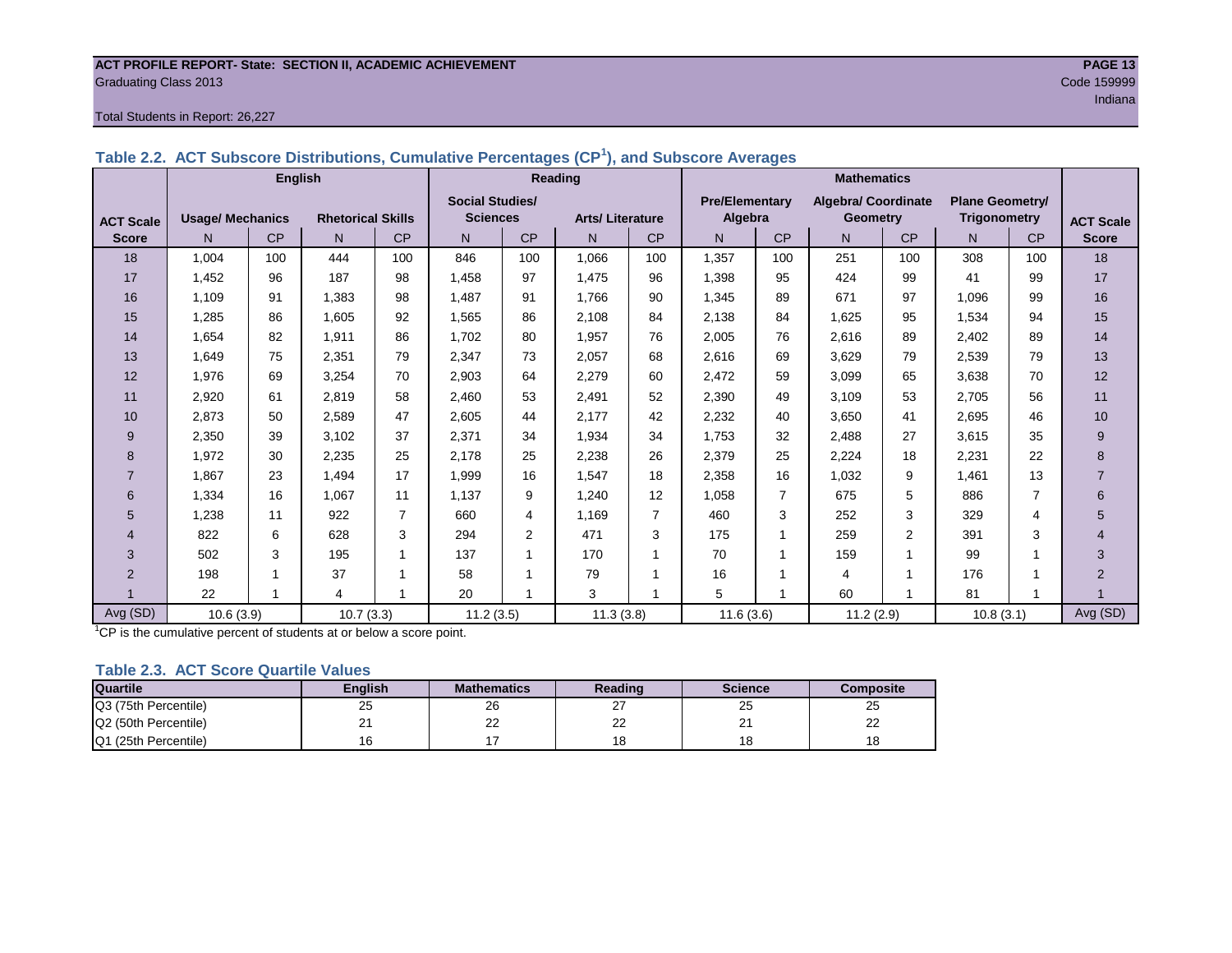#### **ACT PROFILE REPORT- State: SECTION II, ACADEMIC ACHIEVEMENT PAGE 13** Graduating Class 2013 Code 159999

#### Total Students in Report: 26,227

|                  |                         | <b>English</b> |                          |                |                        |                | Reading                |              | <b>Mathematics</b>    |           |                            |                |                        |                |                  |
|------------------|-------------------------|----------------|--------------------------|----------------|------------------------|----------------|------------------------|--------------|-----------------------|-----------|----------------------------|----------------|------------------------|----------------|------------------|
|                  |                         |                |                          |                | <b>Social Studies/</b> |                |                        |              | <b>Pre/Elementary</b> |           | <b>Algebra/ Coordinate</b> |                | <b>Plane Geometry/</b> |                |                  |
| <b>ACT Scale</b> | <b>Usage/ Mechanics</b> |                | <b>Rhetorical Skills</b> |                | <b>Sciences</b>        |                | <b>Arts/Literature</b> |              | Algebra               |           | <b>Geometry</b>            |                | <b>Trigonometry</b>    |                | <b>ACT Scale</b> |
| <b>Score</b>     | N                       | CP             | N                        | <b>CP</b>      | N                      | <b>CP</b>      | N                      | <b>CP</b>    | N.                    | <b>CP</b> | N.                         | CP             | N                      | CP             | <b>Score</b>     |
| 18               | 1,004                   | 100            | 444                      | 100            | 846                    | 100            | 1,066                  | 100          | 1,357                 | 100       | 251                        | 100            | 308                    | 100            | 18               |
| 17               | 1,452                   | 96             | 187                      | 98             | 1,458                  | 97             | 1,475                  | 96           | 1,398                 | 95        | 424                        | 99             | 41                     | 99             | 17               |
| 16               | 1.109                   | 91             | 1.383                    | 98             | 1.487                  | 91             | 1,766                  | 90           | 1,345                 | 89        | 671                        | 97             | 1.096                  | 99             | 16               |
| 15               | 1,285                   | 86             | 1.605                    | 92             | 1,565                  | 86             | 2,108                  | 84           | 2,138                 | 84        | 1,625                      | 95             | 1,534                  | 94             | 15               |
| 14               | 1,654                   | 82             | 1.911                    | 86             | 1.702                  | 80             | 1,957                  | 76           | 2,005                 | 76        | 2,616                      | 89             | 2,402                  | 89             | 14               |
| 13               | 1,649                   | 75             | 2,351                    | 79             | 2,347                  | 73             | 2,057                  | 68           | 2,616                 | 69        | 3,629                      | 79             | 2,539                  | 79             | 13               |
| 12               | 1,976                   | 69             | 3,254                    | 70             | 2,903                  | 64             | 2,279                  | 60           | 2,472                 | 59        | 3,099                      | 65             | 3,638                  | 70             | 12               |
| 11               | 2,920                   | 61             | 2,819                    | 58             | 2,460                  | 53             | 2.491                  | 52           | 2,390                 | 49        | 3.109                      | 53             | 2,705                  | 56             | 11               |
| 10               | 2,873                   | 50             | 2,589                    | 47             | 2,605                  | 44             | 2,177                  | 42           | 2,232                 | 40        | 3,650                      | 41             | 2,695                  | 46             | 10               |
| 9                | 2,350                   | 39             | 3.102                    | 37             | 2,371                  | 34             | 1,934                  | 34           | 1,753                 | 32        | 2,488                      | 27             | 3,615                  | 35             | 9                |
| 8                | 1,972                   | 30             | 2,235                    | 25             | 2,178                  | 25             | 2,238                  | 26           | 2,379                 | 25        | 2,224                      | 18             | 2,231                  | 22             | 8                |
|                  | 1,867                   | 23             | 1,494                    | 17             | 1,999                  | 16             | 1,547                  | 18           | 2,358                 | 16        | 1,032                      | 9              | 1,461                  | 13             | $\overline{7}$   |
| 6                | 1,334                   | 16             | 1,067                    | 11             | 1,137                  | 9              | 1,240                  | 12           | 1,058                 | 7         | 675                        | 5              | 886                    | $\overline{7}$ | 6                |
| 5                | 1,238                   | 11             | 922                      | $\overline{7}$ | 660                    | 4              | 1,169                  | 7            | 460                   | 3         | 252                        | 3              | 329                    | 4              | 5                |
| 4                | 822                     | 6              | 628                      | 3              | 294                    | $\overline{2}$ | 471                    | 3            | 175                   | 1         | 259                        | $\overline{2}$ | 391                    | 3              | 4                |
| 3                | 502                     | 3              | 195                      | $\overline{1}$ | 137                    | 1              | 170                    | $\mathbf{1}$ | 70                    |           | 159                        |                | 99                     |                | 3                |
| $\overline{2}$   | 198                     |                | 37                       |                | 58                     |                | 79                     | 1            | 16                    |           | 4                          |                | 176                    |                | $\overline{2}$   |
|                  | 22                      |                | 4                        |                | 20                     |                | 3                      | 1            | 5                     |           | 60                         |                | 81                     |                |                  |
| Avg (SD)         | 10.6(3.9)               |                | 10.7(3.3)                |                | 11.2(3.5)              |                | 11.3(3.8)              |              | 11.6(3.6)             |           | 11.2(2.9)                  |                | 10.8(3.1)              |                | Avg (SD)         |

#### **Table 2.2. ACT Subscore Distributions, Cumulative Percentages (CP<sup>1</sup> ), and Subscore Averages**

 $1$ <sup>-1</sup>CP is the cumulative percent of students at or below a score point.

#### **Table 2.3. ACT Score Quartile Values**

| <b>Quartile</b>      | Enalish | <b>Mathematics</b> | Reading  | <b>Science</b> | Composite |
|----------------------|---------|--------------------|----------|----------------|-----------|
| Q3 (75th Percentile) | 25      | 26                 | ا ک      | 25             | 25        |
| Q2 (50th Percentile) | . .     | ົ<br>--            | nr<br>∠∠ | <u>_</u>       | nn<br>--  |
| Q1 (25th Percentile) |         |                    |          | 18             | 18        |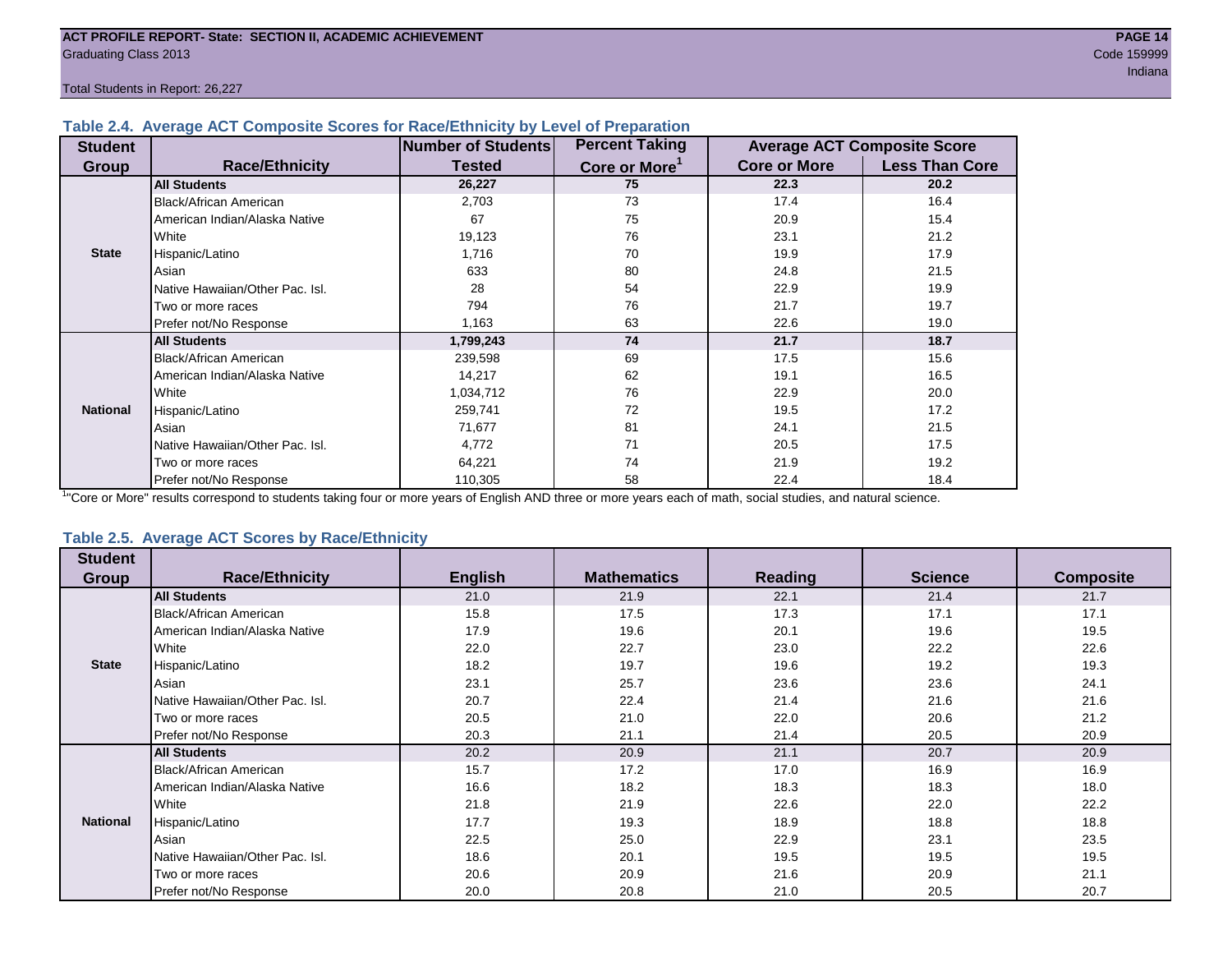#### **Table 2.4. Average ACT Composite Scores for Race/Ethnicity by Level of Preparation**

| <b>Student</b>  |                                 | <b>Number of Students</b> | <b>Percent Taking</b>     |                     | <b>Average ACT Composite Score</b> |
|-----------------|---------------------------------|---------------------------|---------------------------|---------------------|------------------------------------|
| <b>Group</b>    | <b>Race/Ethnicity</b>           | <b>Tested</b>             | Core or More <sup>1</sup> | <b>Core or More</b> | <b>Less Than Core</b>              |
|                 | <b>All Students</b>             | 26,227                    | 75                        | 22.3                | 20.2                               |
|                 | Black/African American          | 2,703                     | 73                        | 17.4                | 16.4                               |
|                 | American Indian/Alaska Native   | 67                        | 75                        | 20.9                | 15.4                               |
|                 | <b>White</b>                    | 19,123                    | 76                        | 23.1                | 21.2                               |
| <b>State</b>    | Hispanic/Latino                 | 1,716                     | 70                        | 19.9                | 17.9                               |
|                 | Asian                           | 633                       | 80                        | 24.8                | 21.5                               |
|                 | Native Hawaiian/Other Pac. Isl. | 28                        | 54                        | 22.9                | 19.9                               |
|                 | I Two or more races             | 794                       | 76                        | 21.7                | 19.7                               |
|                 | Prefer not/No Response          | 1,163                     | 63                        | 22.6                | 19.0                               |
|                 | <b>All Students</b>             | 1,799,243                 | 74                        | 21.7                | 18.7                               |
|                 | Black/African American          | 239,598                   | 69                        | 17.5                | 15.6                               |
|                 | American Indian/Alaska Native   | 14,217                    | 62                        | 19.1                | 16.5                               |
|                 | <b>White</b>                    | 1,034,712                 | 76                        | 22.9                | 20.0                               |
| <b>National</b> | Hispanic/Latino                 | 259,741                   | 72                        | 19.5                | 17.2                               |
|                 | Asian                           | 71,677                    | 81                        | 24.1                | 21.5                               |
|                 | Native Hawaiian/Other Pac. Isl. | 4,772                     | 71                        | 20.5                | 17.5                               |
|                 | I Two or more races             | 64,221                    | 74                        | 21.9                | 19.2                               |
|                 | Prefer not/No Response          | 110,305                   | 58                        | 22.4                | 18.4                               |

<sup>1</sup>"Core or More" results correspond to students taking four or more years of English AND three or more years each of math, social studies, and natural science.

#### **Table 2.5. Average ACT Scores by Race/Ethnicity**

| <b>Student</b>  |                                 |                |                    |                |                |                  |
|-----------------|---------------------------------|----------------|--------------------|----------------|----------------|------------------|
| Group           | <b>Race/Ethnicity</b>           | <b>English</b> | <b>Mathematics</b> | <b>Reading</b> | <b>Science</b> | <b>Composite</b> |
|                 | <b>All Students</b>             | 21.0           | 21.9               | 22.1           | 21.4           | 21.7             |
|                 | Black/African American          | 15.8           | 17.5               | 17.3           | 17.1           | 17.1             |
|                 | American Indian/Alaska Native   | 17.9           | 19.6               | 20.1           | 19.6           | 19.5             |
|                 | White                           | 22.0           | 22.7               | 23.0           | 22.2           | 22.6             |
| <b>State</b>    | Hispanic/Latino                 | 18.2           | 19.7               | 19.6           | 19.2           | 19.3             |
|                 | Asian                           | 23.1           | 25.7               | 23.6           | 23.6           | 24.1             |
|                 | Native Hawaiian/Other Pac. Isl. | 20.7           | 22.4               | 21.4           | 21.6           | 21.6             |
|                 | Two or more races               | 20.5           | 21.0               | 22.0           | 20.6           | 21.2             |
|                 | Prefer not/No Response          | 20.3           | 21.1               | 21.4           | 20.5           | 20.9             |
|                 | <b>All Students</b>             | 20.2           | 20.9               | 21.1           | 20.7           | 20.9             |
|                 | <b>Black/African American</b>   | 15.7           | 17.2               | 17.0           | 16.9           | 16.9             |
|                 | American Indian/Alaska Native   | 16.6           | 18.2               | 18.3           | 18.3           | 18.0             |
|                 | White                           | 21.8           | 21.9               | 22.6           | 22.0           | 22.2             |
| <b>National</b> | Hispanic/Latino                 | 17.7           | 19.3               | 18.9           | 18.8           | 18.8             |
|                 | Asian                           | 22.5           | 25.0               | 22.9           | 23.1           | 23.5             |
|                 | Native Hawaiian/Other Pac. Isl. | 18.6           | 20.1               | 19.5           | 19.5           | 19.5             |
|                 | Two or more races               | 20.6           | 20.9               | 21.6           | 20.9           | 21.1             |
|                 | Prefer not/No Response          | 20.0           | 20.8               | 21.0           | 20.5           | 20.7             |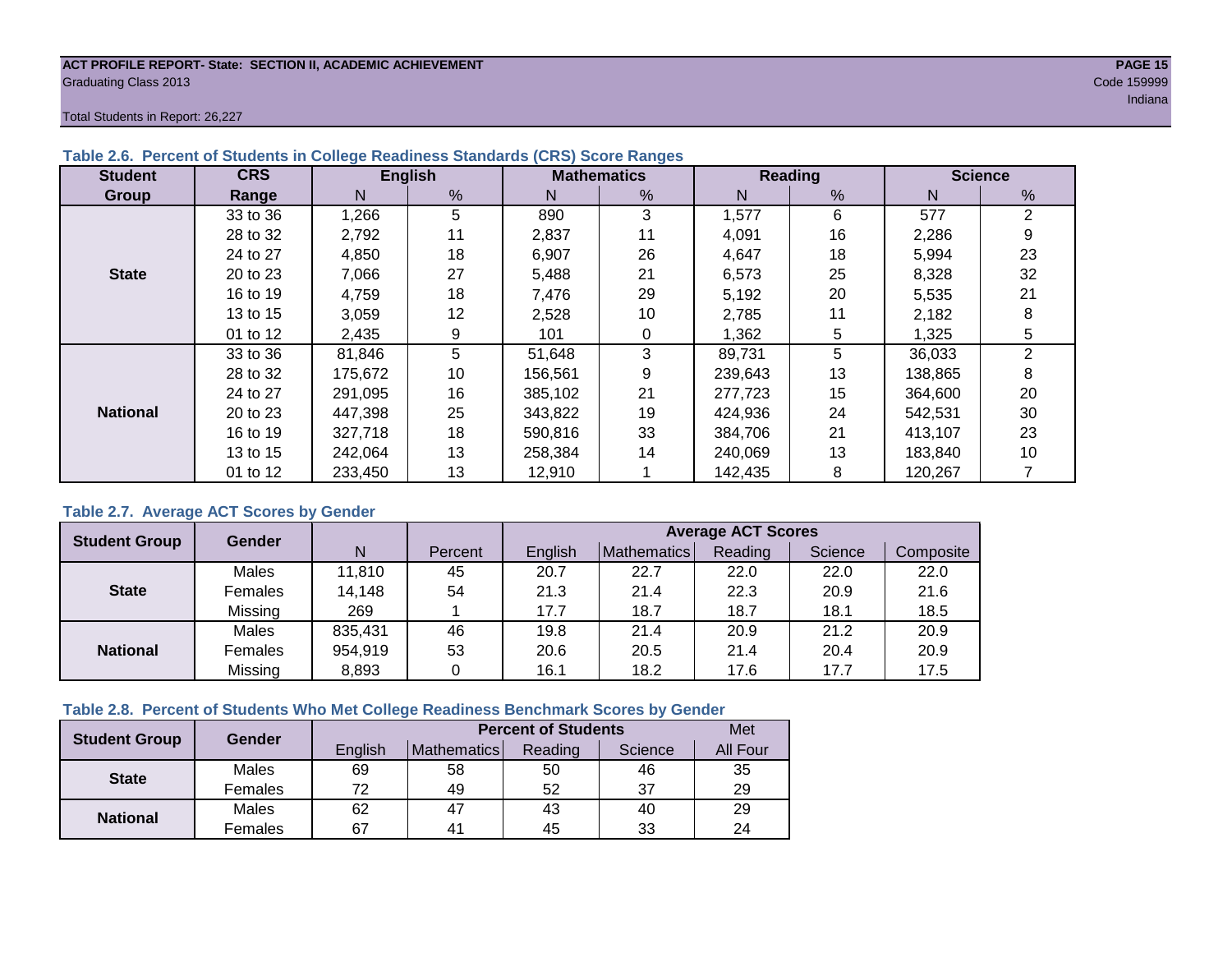#### **ACT PROFILE REPORT- State: SECTION II, ACADEMIC ACHIEVEMENT PAGE 15** Graduating Class 2013 Code 159999

Total Students in Report: 26,227

| <b>Student</b>  | <b>CRS</b> |         | <b>English</b> |         | <b>Mathematics</b> |         | Reading | <b>Science</b> |    |  |
|-----------------|------------|---------|----------------|---------|--------------------|---------|---------|----------------|----|--|
| Group           | Range      | N       | %              | N       | %                  | N       | %       | N              | %  |  |
|                 | 33 to 36   | 1,266   | 5              | 890     | 3                  | 1,577   | 6       | 577            | 2  |  |
|                 | 28 to 32   | 2,792   | 11             | 2,837   | 11                 | 4,091   | 16      | 2,286          | 9  |  |
|                 | 24 to 27   | 4,850   | 18             | 6,907   | 26                 | 4,647   | 18      | 5,994          | 23 |  |
| <b>State</b>    | 20 to 23   | 7,066   | 27             | 5,488   | 21                 | 6,573   | 25      | 8,328          | 32 |  |
|                 | 16 to 19   | 4.759   | 18             | 7.476   | 29                 | 5,192   | 20      | 5,535          | 21 |  |
|                 | 13 to 15   | 3,059   | 12             | 2,528   | 10                 | 2,785   | 11      | 2,182          | 8  |  |
|                 | 01 to 12   | 2,435   | 9              | 101     | 0                  | 1,362   | 5       | 1,325          | 5  |  |
|                 | 33 to 36   | 81,846  | 5              | 51,648  | 3                  | 89,731  | 5       | 36,033         | 2  |  |
|                 | 28 to 32   | 175.672 | 10             | 156,561 | 9                  | 239,643 | 13      | 138,865        | 8  |  |
|                 | 24 to 27   | 291.095 | 16             | 385.102 | 21                 | 277,723 | 15      | 364,600        | 20 |  |
| <b>National</b> | 20 to 23   | 447,398 | 25             | 343,822 | 19                 | 424,936 | 24      | 542,531        | 30 |  |
|                 | 16 to 19   | 327,718 | 18             | 590,816 | 33                 | 384.706 | 21      | 413,107        | 23 |  |
|                 | 13 to 15   | 242.064 | 13             | 258,384 | 14                 | 240,069 | 13      | 183,840        | 10 |  |
|                 | 01 to 12   | 233,450 | 13             | 12,910  |                    | 142,435 | 8       | 120,267        |    |  |

#### **Table 2.6. Percent of Students in College Readiness Standards (CRS) Score Ranges**

#### **Table 2.7. Average ACT Scores by Gender**

| <b>Student Group</b> | <b>Gender</b> |         |         | <b>Average ACT Scores</b> |             |         |         |           |  |  |  |
|----------------------|---------------|---------|---------|---------------------------|-------------|---------|---------|-----------|--|--|--|
|                      |               | N       | Percent | Enalish                   | Mathematics | Reading | Science | Composite |  |  |  |
|                      | Males         | 11,810  | 45      | 20.7                      | 22.7        | 22.0    | 22.0    | 22.0      |  |  |  |
| <b>State</b>         | Females       | 14,148  | 54      | 21.3                      | 21.4        | 22.3    | 20.9    | 21.6      |  |  |  |
|                      | Missing       | 269     |         | 17.7                      | 18.7        | 18.7    | 18.1    | 18.5      |  |  |  |
|                      | Males         | 835,431 | 46      | 19.8                      | 21.4        | 20.9    | 21.2    | 20.9      |  |  |  |
| <b>National</b>      | Females       | 954,919 | 53      | 20.6                      | 20.5        | 21.4    | 20.4    | 20.9      |  |  |  |
|                      | Missing       | 8,893   | 0       | 16.1                      | 18.2        | 17.6    | 17.7    | 17.5      |  |  |  |

#### **Table 2.8. Percent of Students Who Met College Readiness Benchmark Scores by Gender**

| <b>Student Group</b> | Gender  |         | <b>Percent of Students</b> |         |         |          |  |  |  |  |
|----------------------|---------|---------|----------------------------|---------|---------|----------|--|--|--|--|
|                      |         | English | Mathematics                | Reading | Science | All Four |  |  |  |  |
| <b>State</b>         | Males   | 69      | 58                         | 50      | 46      | 35       |  |  |  |  |
|                      | Females | 70      | 49                         | 52      | 37      | 29       |  |  |  |  |
|                      | Males   | 62      | 47                         | 43      | 40      | 29       |  |  |  |  |
| <b>National</b>      | Females | 67      | 4 <sup>1</sup>             | 45      | 33      | 24       |  |  |  |  |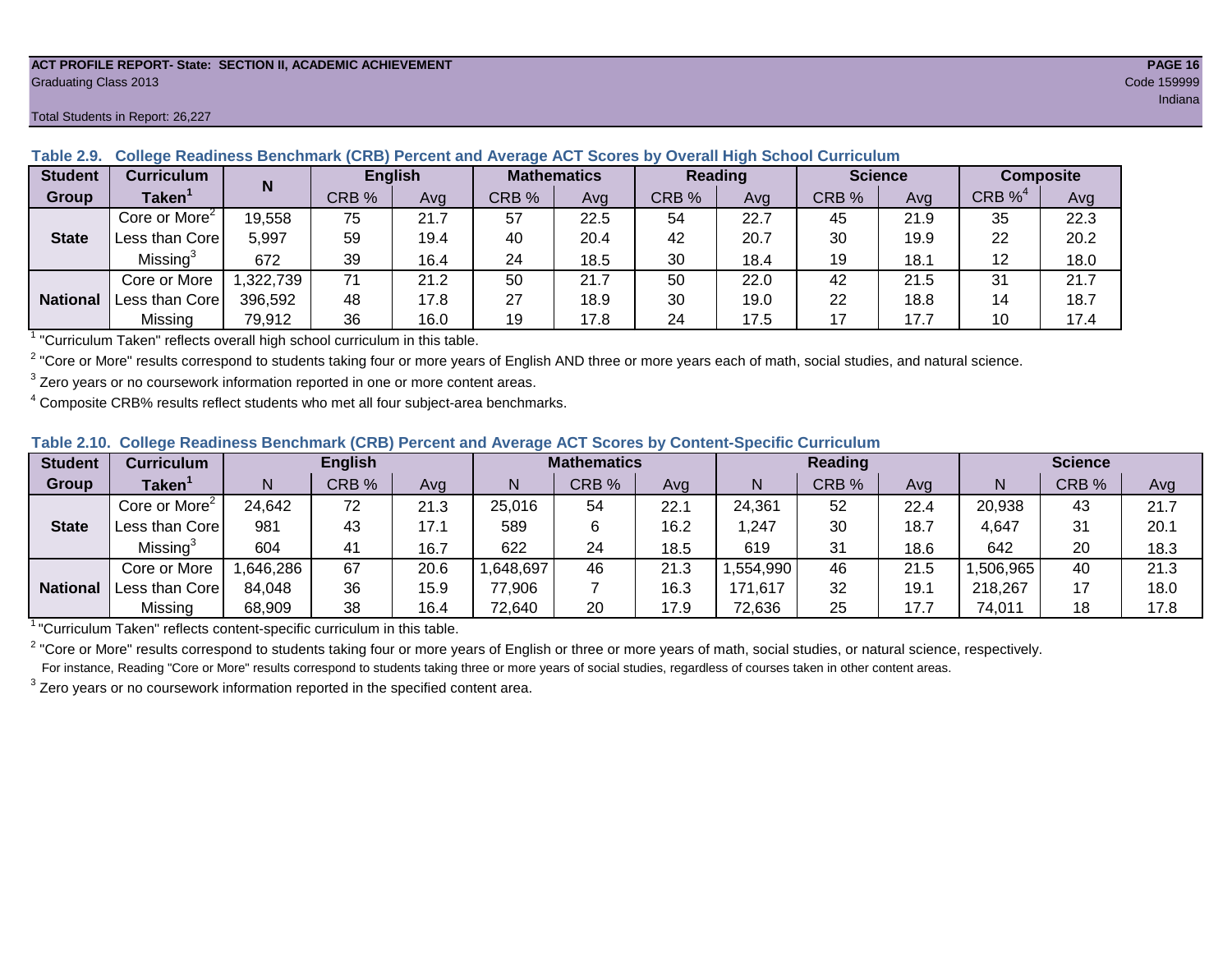#### **ACT PROFILE REPORT- State: SECTION II, ACADEMIC ACHIEVEMENT PAGE 16** Graduating Class 2013 Code 159999

#### Total Students in Report: 26,227

| <b>Student</b>  | <b>Curriculum</b>                   | N        |       | <b>English</b> |       | <b>Mathematics</b> |       | <b>Reading</b> |       | <b>Science</b> |          | <b>Composite</b> |  |
|-----------------|-------------------------------------|----------|-------|----------------|-------|--------------------|-------|----------------|-------|----------------|----------|------------------|--|
| Group           | Taken $^{\rm \scriptscriptstyle I}$ |          | CRB % | Avg            | CRB % | Avg                | CRB % | Avg            | CRB % | Ava            | $CRB\%4$ | Avg              |  |
|                 | Core or More $2$                    | 19,558   | 75    | 21.7           | 57    | 22.5               | 54    | 22.7           | 45    | 21.9           | 35       | 22.3             |  |
| <b>State</b>    | Less than Corel                     | 5,997    | 59    | 19.4           | 40    | 20.4               | 42    | 20.7           | 30    | 19.9           | 22       | 20.2             |  |
|                 | Missing <sup>3</sup>                | 672      | 39    | 16.4           | 24    | 18.5               | 30    | 18.4           | 19    | 18.1           |          | 18.0             |  |
|                 | Core or More                        | .322,739 | 71    | 21.2           | 50    | 21.7               | 50    | 22.0           | 42    | 21.5           | 31       | 21.7             |  |
| <b>National</b> | Less than Corel                     | 396,592  | 48    | 17.8           | 27    | 18.9               | 30    | 19.0           | 22    | 18.8           | 14       | 18.7             |  |
|                 | Missing                             | 79,912   | 36    | 16.0           | 19    | 17.8               | 24    | 17.5           | 17    | 17.7           | 10       | 17.4             |  |

#### **Table 2.9. College Readiness Benchmark (CRB) Percent and Average ACT Scores by Overall High School Curriculum**

<sup>1</sup> "Curriculum Taken" reflects overall high school curriculum in this table.

 $^2$  "Core or More" results correspond to students taking four or more years of English AND three or more years each of math, social studies, and natural science.

 $3$  Zero years or no coursework information reported in one or more content areas.

 $4$  Composite CRB% results reflect students who met all four subject-area benchmarks.

#### **Table 2.10. College Readiness Benchmark (CRB) Percent and Average ACT Scores by Content-Specific Curriculum**

| <b>Student</b>  | Curriculum                |          | <b>English</b> |      |          | <b>Mathematics</b> |      |          | <b>Reading</b> |      |          | <b>Science</b> |      |  |
|-----------------|---------------------------|----------|----------------|------|----------|--------------------|------|----------|----------------|------|----------|----------------|------|--|
| Group           | <b>Taken</b>              |          | CRB %          | Avg  |          | CRB %              | Avg  | N        | CRB %          | Avg  | N        | CRB %          | Avg  |  |
|                 | Core or More <sup>2</sup> | 24,642   | 72             | 21.3 | 25,016   | 54                 | 22.1 | 24,361   | 52             | 22.4 | 20,938   | 43             | 21.7 |  |
| <b>State</b>    | Less than Core            | 981      | 43             | 17.1 | 589      |                    | 16.2 | ,247     | 30             | 18.7 | 4,647    | 31             | 20.1 |  |
|                 | Missing <sup>3</sup>      | 604      | 41             | 16.7 | 622      | 24                 | 18.5 | 619      | 31             | 18.6 | 642      | 20             | 18.3 |  |
|                 | Core or More              | .646,286 | 67             | 20.6 | ,648,697 | 46                 | 21.3 | .554,990 | 46             | 21.5 | ,506,965 | 40             | 21.3 |  |
| <b>National</b> | Less than Core            | 84,048   | 36             | 15.9 | 77,906   |                    | 16.3 | 171,617  | 32             | 19.1 | 218,267  |                | 18.0 |  |
|                 | Missing                   | 68,909   | 38             | 16.4 | 72,640   | 20                 | 17.9 | 72,636   | 25             | 17.7 | 74,011   | 18             | 17.8 |  |

<sup>1</sup>"Curriculum Taken" reflects content-specific curriculum in this table.

<sup>2</sup> "Core or More" results correspond to students taking four or more years of English or three or more years of math, social studies, or natural science, respectively. For instance, Reading "Core or More" results correspond to students taking three or more years of social studies, regardless of courses taken in other content areas.

 $3$  Zero years or no coursework information reported in the specified content area.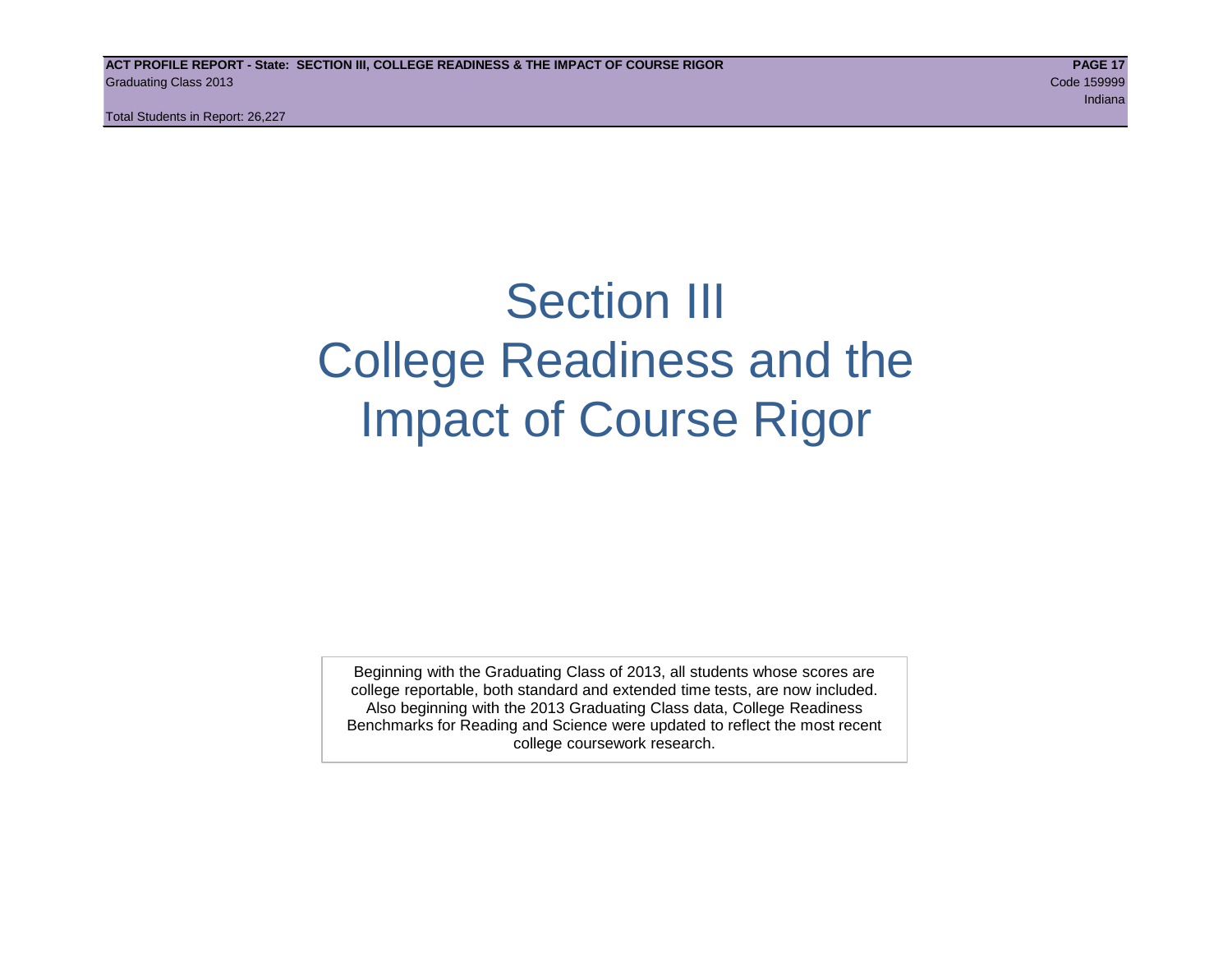## Section III College Readiness and the Impact of Course Rigor

Beginning with the Graduating Class of 2013, all students whose scores are college reportable, both standard and extended time tests, are now included. Also beginning with the 2013 Graduating Class data, College Readiness Benchmarks for Reading and Science were updated to reflect the most recent college coursework research.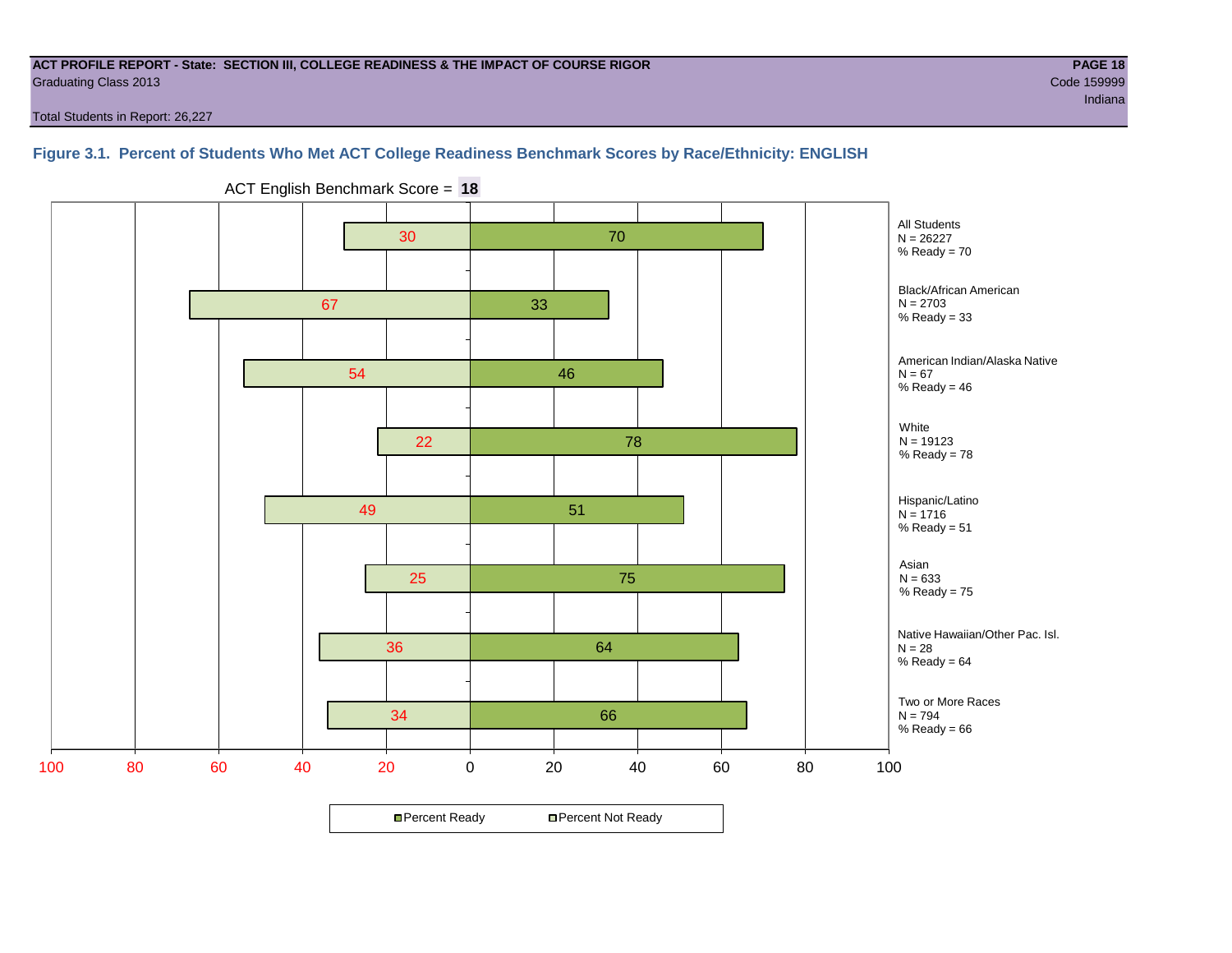#### **ACT PROFILE REPORT - State: SECTION III, COLLEGE READINESS & THE IMPACT OF COURSE RIGOR PAGE 18** Graduating Class 2013 Code 159999

Total Students in Report: 26,227

#### **Figure 3.1. Percent of Students Who Met ACT College Readiness Benchmark Scores by Race/Ethnicity: ENGLISH**



ACT English Benchmark Score = **18**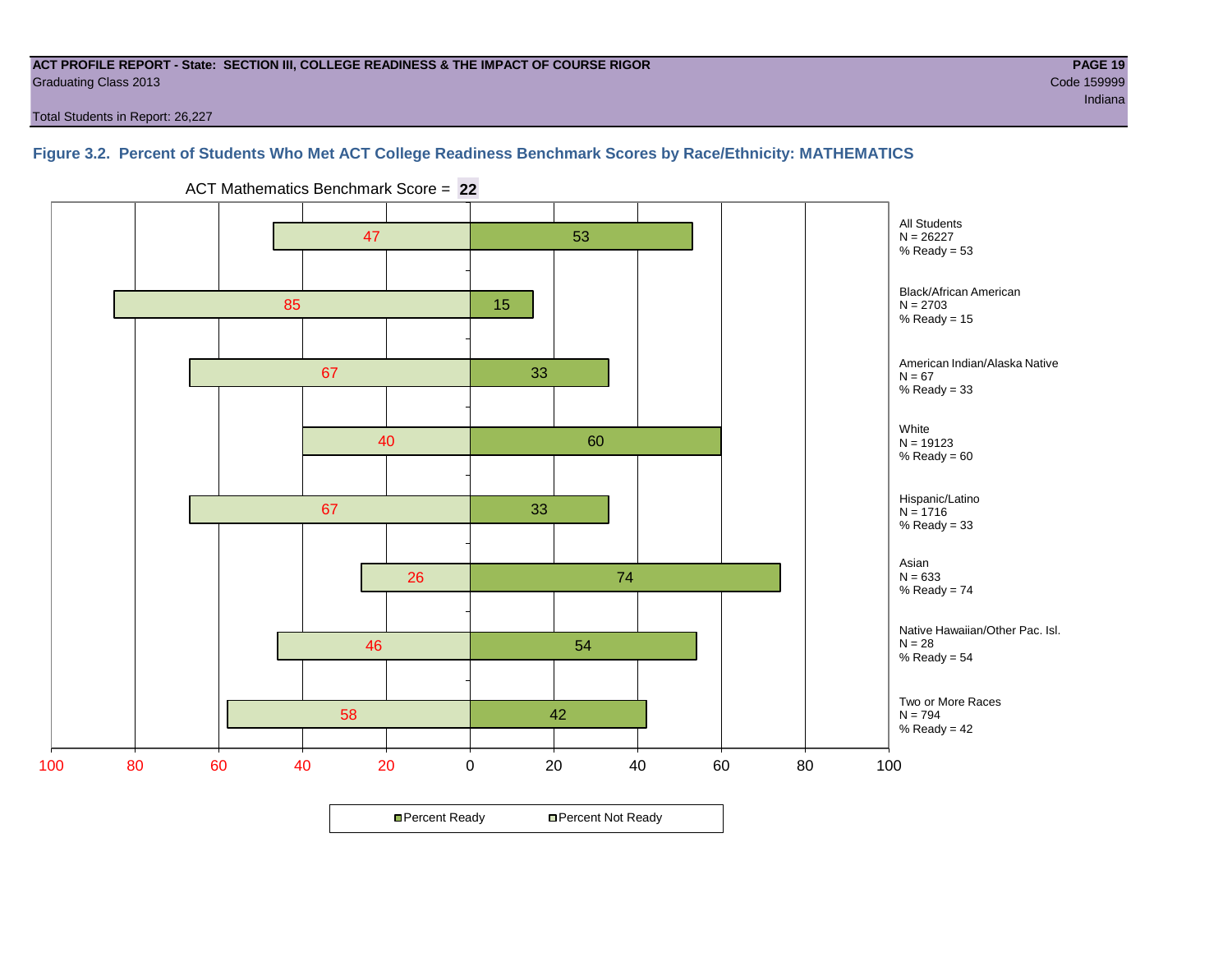#### **ACT PROFILE REPORT - State: SECTION III, COLLEGE READINESS & THE IMPACT OF COURSE RIGOR PAGE 19** Graduating Class 2013 Code 159999

Total Students in Report: 26,227

#### **Figure 3.2. Percent of Students Who Met ACT College Readiness Benchmark Scores by Race/Ethnicity: MATHEMATICS**



ACT Mathematics Benchmark Score = **22**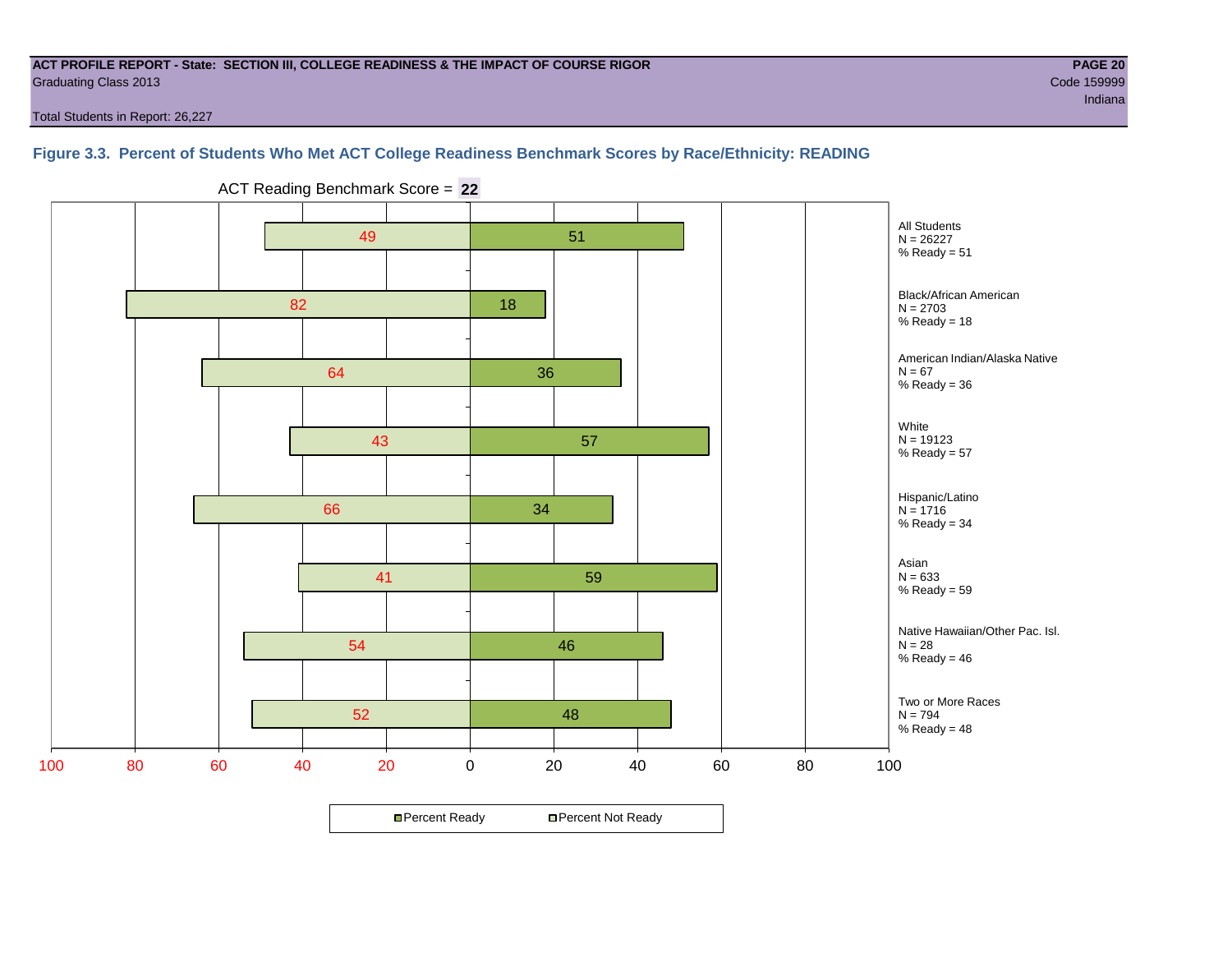#### **ACT PROFILE REPORT - State: SECTION III, COLLEGE READINESS & THE IMPACT OF COURSE RIGOR PAGE 20** Graduating Class 2013 Code 159999

Total Students in Report: 26,227

#### **Figure 3.3. Percent of Students Who Met ACT College Readiness Benchmark Scores by Race/Ethnicity: READING**



ACT Reading Benchmark Score = **22**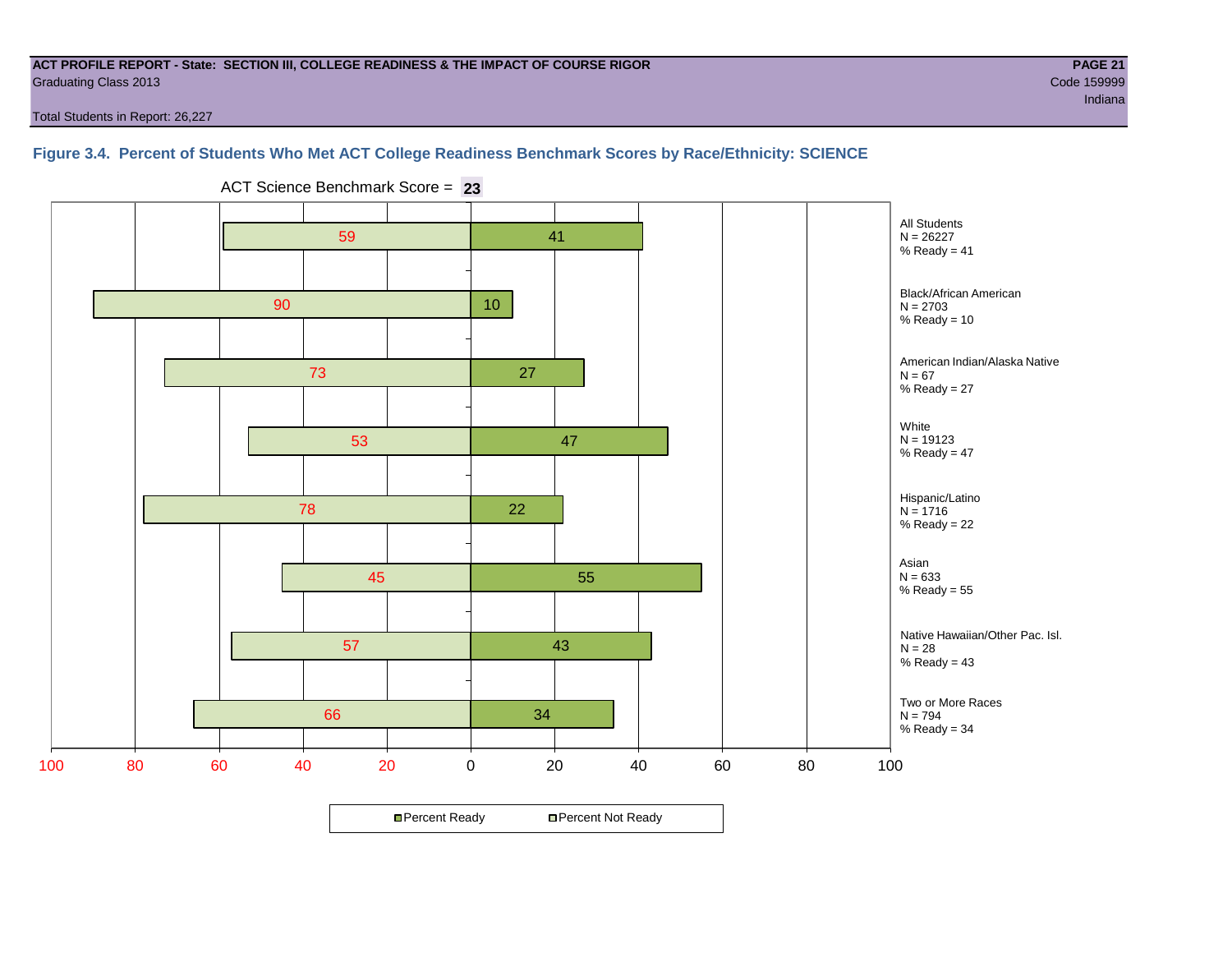#### **ACT PROFILE REPORT - State: SECTION III, COLLEGE READINESS & THE IMPACT OF COURSE RIGOR PAGE 21** Graduating Class 2013 Code 159999

ing the control of the control of the control of the control of the control of the control of the control of the control of the control of the control of the control of the control of the control of the control of the cont

Total Students in Report: 26,227

#### **Figure 3.4. Percent of Students Who Met ACT College Readiness Benchmark Scores by Race/Ethnicity: SCIENCE**



ACT Science Benchmark Score = **23**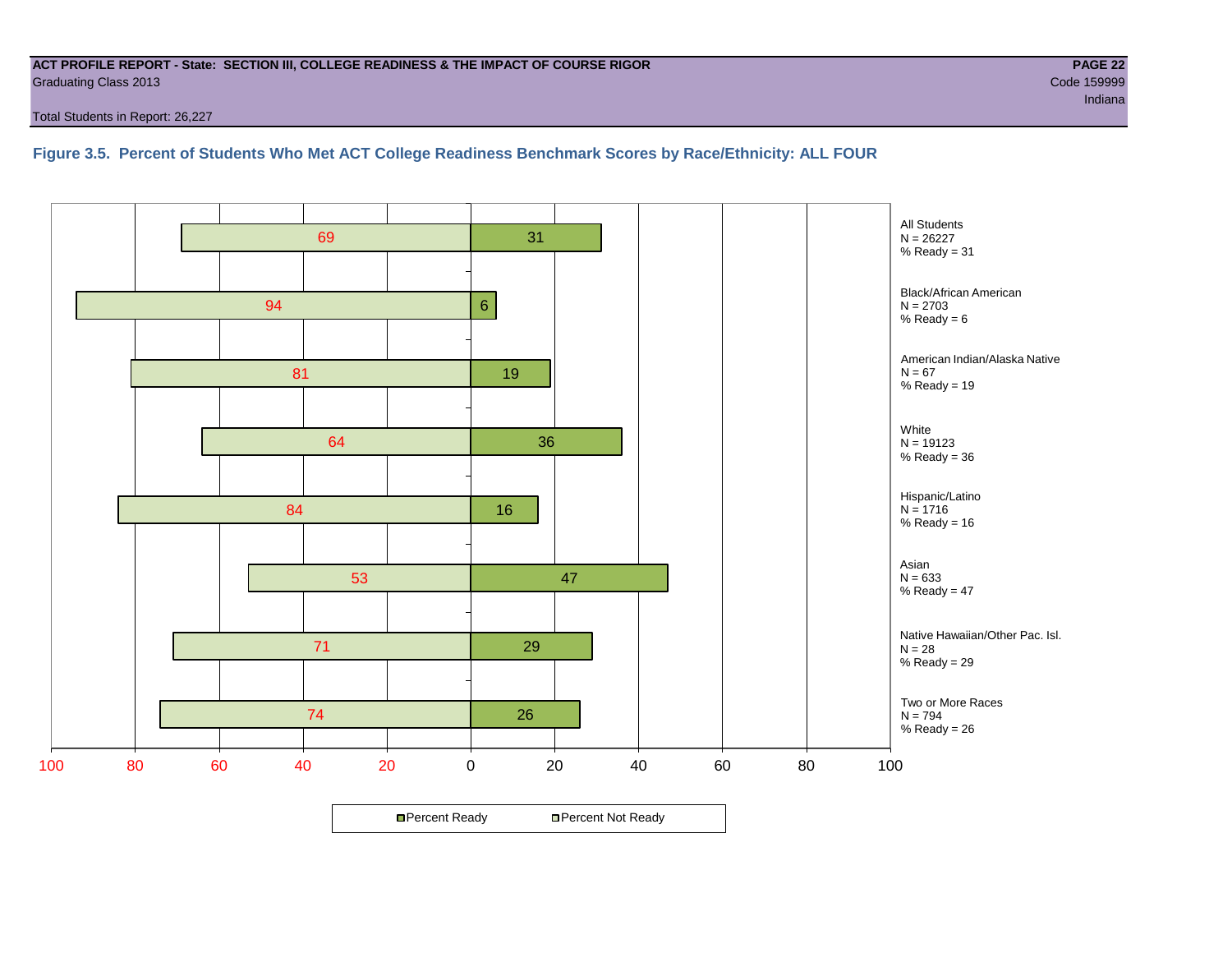#### **ACT PROFILE REPORT - State: SECTION III, COLLEGE READINESS & THE IMPACT OF COURSE RIGOR PAGE 22** Graduating Class 2013 Code 159999

Total Students in Report: 26,227

#### **Figure 3.5. Percent of Students Who Met ACT College Readiness Benchmark Scores by Race/Ethnicity: ALL FOUR**

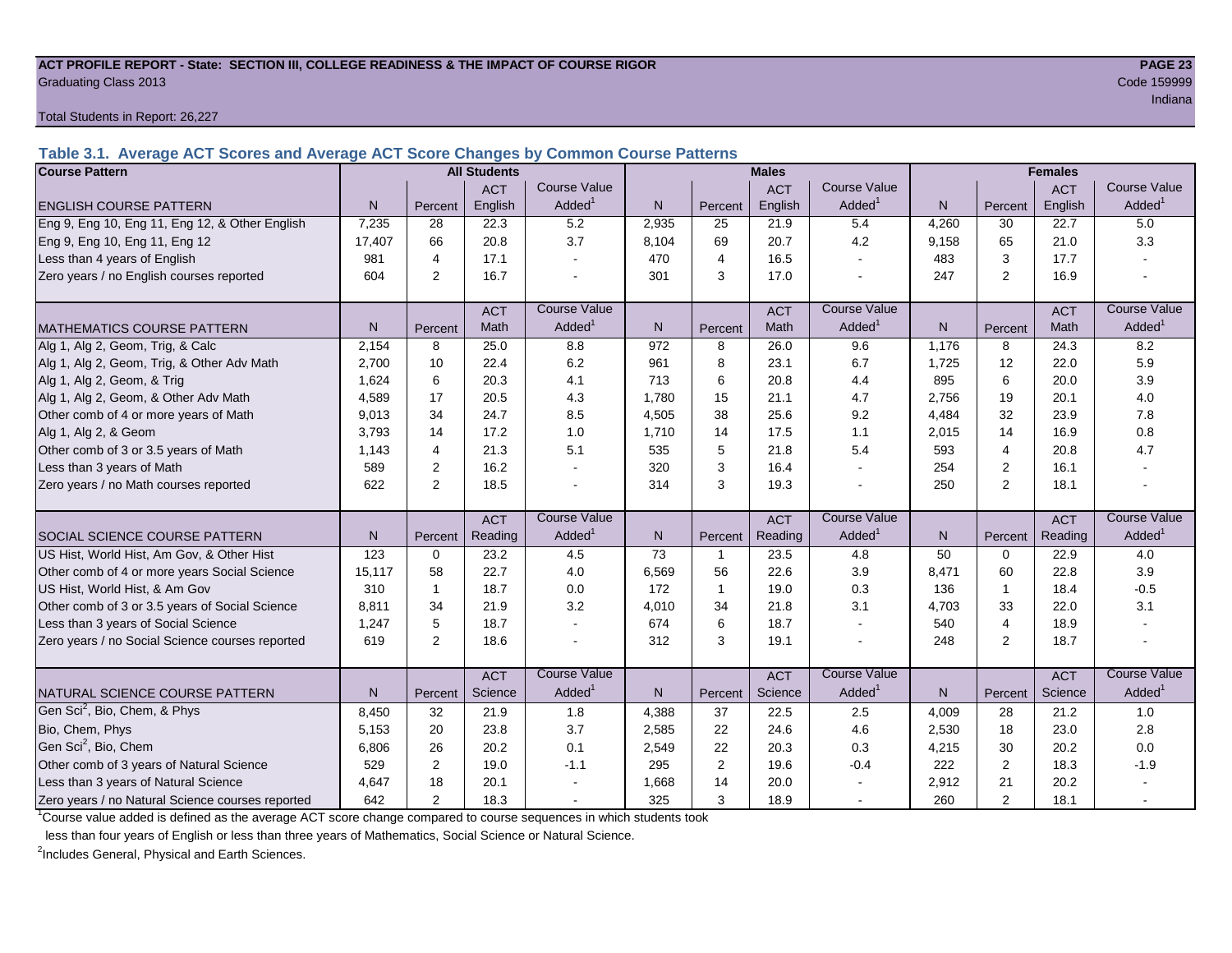#### **ACT PROFILE REPORT - State: SECTION III, COLLEGE READINESS & THE IMPACT OF COURSE RIGOR PAGE 23** Graduating Class 2013 Code 159999

Total Students in Report: 26,227

**Table 3.1. Average ACT Scores and Average ACT Score Changes by Common Course Patterns**

| <b>Course Pattern</b>                            |        |                | <b>All Students</b> |                     |       |                | <b>Males</b> |                          |                |                | <b>Females</b> |                        |
|--------------------------------------------------|--------|----------------|---------------------|---------------------|-------|----------------|--------------|--------------------------|----------------|----------------|----------------|------------------------|
|                                                  |        |                | <b>ACT</b>          | <b>Course Value</b> |       |                | <b>ACT</b>   | <b>Course Value</b>      |                |                | <b>ACT</b>     | <b>Course Value</b>    |
| <b>ENGLISH COURSE PATTERN</b>                    | N.     | Percent        | English             | Added <sup>1</sup>  | N     | Percent        | English      | Added                    | N              | Percent        | English        | $A dded^1$             |
| Eng 9, Eng 10, Eng 11, Eng 12, & Other English   | 7,235  | 28             | 22.3                | 5.2                 | 2,935 | 25             | 21.9         | 5.4                      | 4,260          | 30             | 22.7           | 5.0                    |
| Eng 9, Eng 10, Eng 11, Eng 12                    | 17,407 | 66             | 20.8                | 3.7                 | 8,104 | 69             | 20.7         | 4.2                      | 9,158          | 65             | 21.0           | 3.3                    |
| Less than 4 years of English                     | 981    | 4              | 17.1                |                     | 470   | $\overline{4}$ | 16.5         | $\overline{\phantom{a}}$ | 483            | 3              | 17.7           |                        |
| Zero years / no English courses reported         | 604    | 2              | 16.7                |                     | 301   | 3              | 17.0         | $\overline{\phantom{a}}$ | 247            | $\overline{2}$ | 16.9           |                        |
|                                                  |        |                | <b>ACT</b>          | <b>Course Value</b> |       |                | <b>ACT</b>   | <b>Course Value</b>      |                |                | <b>ACT</b>     | <b>Course Value</b>    |
| <b>MATHEMATICS COURSE PATTERN</b>                | N.     | Percent        | Math                | Added <sup>1</sup>  | N     | Percent        | Math         | Added                    | $\overline{N}$ | Percent        | Math           | A d d e d <sup>1</sup> |
| Alg 1, Alg 2, Geom, Trig, & Calc                 | 2.154  | 8              | 25.0                | 8.8                 | 972   | 8              | 26.0         | 9.6                      | 1.176          | 8              | 24.3           | 8.2                    |
| Alg 1, Alg 2, Geom, Trig, & Other Adv Math       | 2.700  | 10             | 22.4                | 6.2                 | 961   | 8              | 23.1         | 6.7                      | 1.725          | 12             | 22.0           | 5.9                    |
| Alg 1, Alg 2, Geom, & Trig                       | 1.624  | 6              | 20.3                | 4.1                 | 713   | 6              | 20.8         | 4.4                      | 895            | 6              | 20.0           | 3.9                    |
| Alg 1, Alg 2, Geom, & Other Adv Math             | 4.589  | 17             | 20.5                | 4.3                 | 1,780 | 15             | 21.1         | 4.7                      | 2,756          | 19             | 20.1           | 4.0                    |
| Other comb of 4 or more years of Math            | 9,013  | 34             | 24.7                | 8.5                 | 4,505 | 38             | 25.6         | 9.2                      | 4,484          | 32             | 23.9           | 7.8                    |
| Alg 1, Alg 2, & Geom                             | 3,793  | 14             | 17.2                | 1.0                 | 1,710 | 14             | 17.5         | 1.1                      | 2,015          | 14             | 16.9           | 0.8                    |
| Other comb of 3 or 3.5 years of Math             | 1.143  | 4              | 21.3                | 5.1                 | 535   | 5              | 21.8         | 5.4                      | 593            | $\overline{4}$ | 20.8           | 4.7                    |
| Less than 3 years of Math                        | 589    | 2              | 16.2                |                     | 320   | 3              | 16.4         | $\sim$                   | 254            | 2              | 16.1           |                        |
| Zero years / no Math courses reported            | 622    | 2              | 18.5                |                     | 314   | 3              | 19.3         | $\overline{a}$           | 250            | $\overline{2}$ | 18.1           |                        |
|                                                  |        |                | <b>ACT</b>          | <b>Course Value</b> |       |                | <b>ACT</b>   | <b>Course Value</b>      |                |                | <b>ACT</b>     | <b>Course Value</b>    |
| SOCIAL SCIENCE COURSE PATTERN                    | N      | Percent        | Reading             | Added <sup>1</sup>  | N     | Percent        | Reading      | Added <sup>1</sup>       | N              | Percent        | Reading        | A d d e d <sup>1</sup> |
| US Hist, World Hist, Am Gov, & Other Hist        | 123    | $\Omega$       | 23.2                | 4.5                 | 73    | $\mathbf{1}$   | 23.5         | 4.8                      | 50             | $\Omega$       | 22.9           | 4.0                    |
| Other comb of 4 or more years Social Science     | 15,117 | 58             | 22.7                | $4.0\,$             | 6,569 | 56             | 22.6         | 3.9                      | 8,471          | 60             | 22.8           | 3.9                    |
| US Hist, World Hist, & Am Gov                    | 310    | -1             | 18.7                | 0.0                 | 172   | $\mathbf{1}$   | 19.0         | 0.3                      | 136            | $\mathbf{1}$   | 18.4           | $-0.5$                 |
| Other comb of 3 or 3.5 years of Social Science   | 8,811  | 34             | 21.9                | 3.2                 | 4,010 | 34             | 21.8         | 3.1                      | 4,703          | 33             | 22.0           | 3.1                    |
| Less than 3 years of Social Science              | 1,247  | 5              | 18.7                |                     | 674   | 6              | 18.7         | $\sim$                   | 540            | 4              | 18.9           |                        |
| Zero years / no Social Science courses reported  | 619    | 2              | 18.6                |                     | 312   | 3              | 19.1         | $\overline{\phantom{a}}$ | 248            | 2              | 18.7           |                        |
|                                                  |        |                | <b>ACT</b>          | <b>Course Value</b> |       |                | <b>ACT</b>   | <b>Course Value</b>      |                |                | <b>ACT</b>     | <b>Course Value</b>    |
| NATURAL SCIENCE COURSE PATTERN                   | N.     | Percent        | Science             | Added <sup>1</sup>  | N     | Percent        | Science      | Added <sup>1</sup>       | N              | Percent        | Science        | A d d e d <sup>1</sup> |
| Gen Sci <sup>2</sup> , Bio, Chem, & Phys         | 8,450  | 32             | 21.9                | 1.8                 | 4,388 | 37             | 22.5         | 2.5                      | 4,009          | 28             | 21.2           | $1.0$                  |
| Bio, Chem, Phys                                  | 5,153  | 20             | 23.8                | 3.7                 | 2,585 | 22             | 24.6         | 4.6                      | 2,530          | 18             | 23.0           | 2.8                    |
| Gen Sci <sup>2</sup> , Bio, Chem                 | 6,806  | 26             | 20.2                | 0.1                 | 2,549 | 22             | 20.3         | 0.3                      | 4,215          | 30             | 20.2           | 0.0                    |
| Other comb of 3 years of Natural Science         | 529    | 2              | 19.0                | $-1.1$              | 295   | $\overline{2}$ | 19.6         | $-0.4$                   | 222            | $\overline{2}$ | 18.3           | $-1.9$                 |
| Less than 3 years of Natural Science             | 4,647  | 18             | 20.1                |                     | 1,668 | 14             | 20.0         |                          | 2,912          | 21             | 20.2           |                        |
| Zero years / no Natural Science courses reported | 642    | $\overline{2}$ | 18.3                |                     | 325   | 3              | 18.9         | $\sim$                   | 260            | $\overline{2}$ | 18.1           |                        |

<sup>1</sup>Course value added is defined as the average ACT score change compared to course sequences in which students took

less than four years of English or less than three years of Mathematics, Social Science or Natural Science.

<sup>2</sup>Includes General, Physical and Earth Sciences.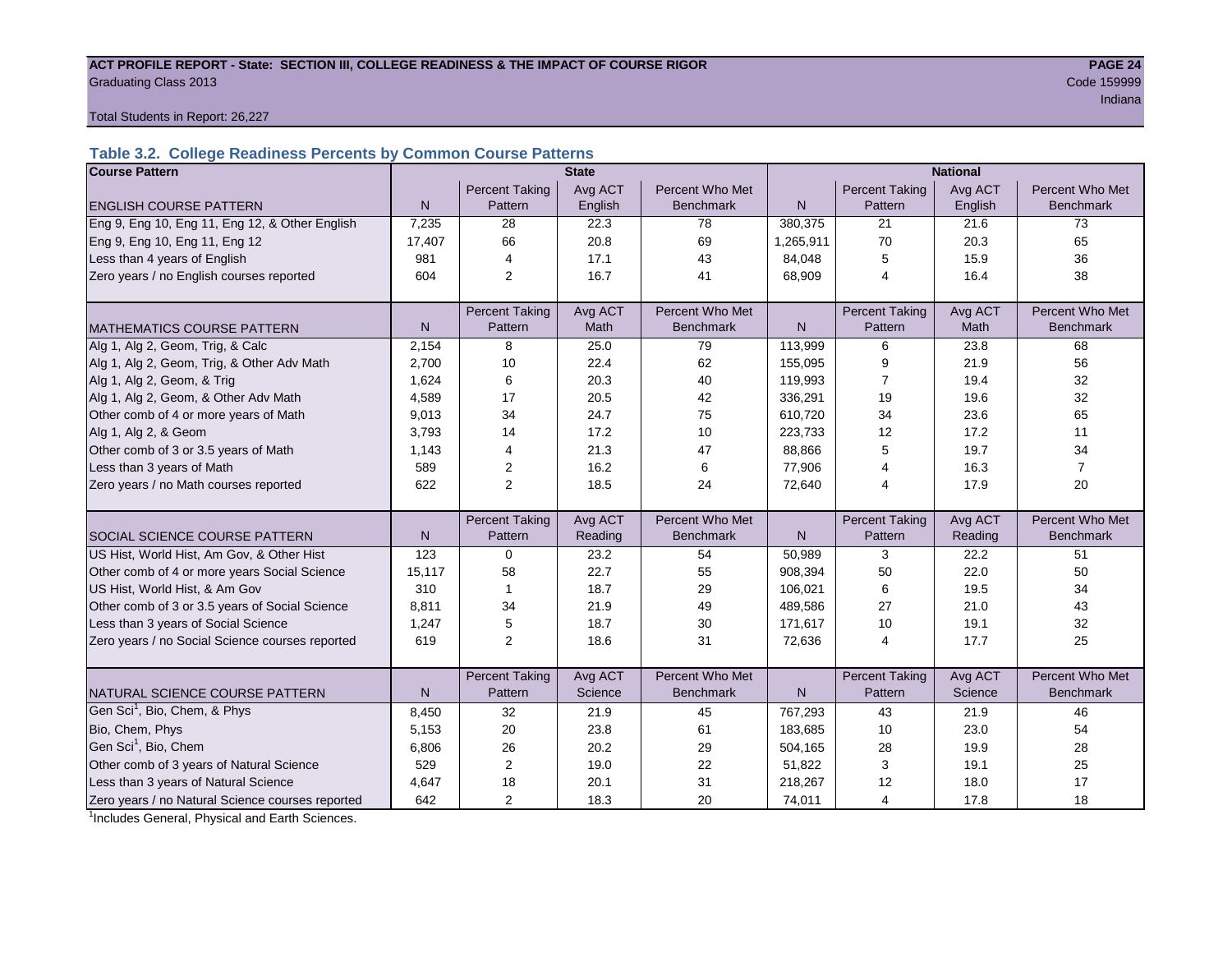#### ACT PROFILE REPORT - State: SECTION III, COLLEGE READINESS & THE IMPACT OF COURSE RIGOR **PAGE 24 Graduating Class 2013** Code 159999

in a bha an t-ainm an t-ainm an t-ainm an t-ainm an t-ainm an t-ainm an t-ainm an t-ainm an t-ainm an t-ainm a

Total Students in Report: 26,227

#### **Table 3.2. College Readiness Percents by Common Course Patterns**

| <b>Course Pattern</b>                            |              |                       | <b>State</b> |                  | <b>National</b> |                       |         |                  |  |
|--------------------------------------------------|--------------|-----------------------|--------------|------------------|-----------------|-----------------------|---------|------------------|--|
|                                                  |              | <b>Percent Taking</b> | Avg ACT      | Percent Who Met  |                 | <b>Percent Taking</b> | Avg ACT | Percent Who Met  |  |
| <b>ENGLISH COURSE PATTERN</b>                    | $\mathsf{N}$ | Pattern               | English      | <b>Benchmark</b> | N               | Pattern               | English | <b>Benchmark</b> |  |
| Eng 9, Eng 10, Eng 11, Eng 12, & Other English   | 7,235        | 28                    | 22.3         | 78               | 380,375         | 21                    | 21.6    | 73               |  |
| Eng 9, Eng 10, Eng 11, Eng 12                    | 17,407       | 66                    | 20.8         | 69               | 1,265,911       | 70                    | 20.3    | 65               |  |
| Less than 4 years of English                     | 981          | $\overline{4}$        | 17.1         | 43               | 84,048          | 5                     | 15.9    | 36               |  |
| Zero years / no English courses reported         | 604          | 2                     | 16.7         | 41               | 68,909          | $\overline{4}$        | 16.4    | 38               |  |
|                                                  |              |                       |              |                  |                 |                       |         |                  |  |
|                                                  |              | <b>Percent Taking</b> | Avg ACT      | Percent Who Met  |                 | <b>Percent Taking</b> | Avg ACT | Percent Who Met  |  |
| <b>MATHEMATICS COURSE PATTERN</b>                | $\mathsf{N}$ | Pattern               | Math         | Benchmark        | $\mathsf{N}$    | Pattern               | Math    | Benchmark        |  |
| Alg 1, Alg 2, Geom, Trig, & Calc                 | 2,154        | 8                     | 25.0         | 79               | 113,999         | 6                     | 23.8    | 68               |  |
| Alg 1, Alg 2, Geom, Trig, & Other Adv Math       | 2,700        | 10                    | 22.4         | 62               | 155,095         | 9                     | 21.9    | 56               |  |
| Alg 1, Alg 2, Geom, & Trig                       | 1,624        | 6                     | 20.3         | 40               | 119,993         | 7                     | 19.4    | 32               |  |
| Alg 1, Alg 2, Geom, & Other Adv Math             | 4,589        | 17                    | 20.5         | 42               | 336,291         | 19                    | 19.6    | 32               |  |
| Other comb of 4 or more years of Math            | 9,013        | 34                    | 24.7         | 75               | 610,720         | 34                    | 23.6    | 65               |  |
| Alg 1, Alg 2, & Geom                             | 3,793        | 14                    | 17.2         | 10               | 223,733         | 12                    | 17.2    | 11               |  |
| Other comb of 3 or 3.5 years of Math             | 1.143        | $\overline{4}$        | 21.3         | 47               | 88,866          | 5                     | 19.7    | 34               |  |
| Less than 3 years of Math                        | 589          | $\overline{2}$        | 16.2         | 6                | 77,906          | 4                     | 16.3    | $\overline{7}$   |  |
| Zero years / no Math courses reported            | 622          | 2                     | 18.5         | 24               | 72,640          | 4                     | 17.9    | 20               |  |
|                                                  |              |                       |              |                  |                 |                       |         |                  |  |
|                                                  |              | <b>Percent Taking</b> | Avg ACT      | Percent Who Met  |                 | <b>Percent Taking</b> | Avg ACT | Percent Who Met  |  |
| <b>SOCIAL SCIENCE COURSE PATTERN</b>             | N            | Pattern               | Reading      | <b>Benchmark</b> | N               | Pattern               | Reading | <b>Benchmark</b> |  |
| US Hist, World Hist, Am Gov, & Other Hist        | 123          | 0                     | 23.2         | 54               | 50,989          | 3                     | 22.2    | 51               |  |
| Other comb of 4 or more years Social Science     | 15,117       | 58                    | 22.7         | 55               | 908,394         | 50                    | 22.0    | 50               |  |
| US Hist, World Hist, & Am Gov                    | 310          | $\mathbf{1}$          | 18.7         | 29               | 106,021         | 6                     | 19.5    | 34               |  |
| Other comb of 3 or 3.5 years of Social Science   | 8,811        | 34                    | 21.9         | 49               | 489.586         | 27                    | 21.0    | 43               |  |
| Less than 3 years of Social Science              | 1,247        | 5                     | 18.7         | 30               | 171,617         | 10                    | 19.1    | 32               |  |
| Zero years / no Social Science courses reported  | 619          | 2                     | 18.6         | 31               | 72,636          | 4                     | 17.7    | 25               |  |
|                                                  |              |                       |              |                  |                 |                       |         |                  |  |
|                                                  |              | <b>Percent Taking</b> | Avg ACT      | Percent Who Met  |                 | <b>Percent Taking</b> | Avg ACT | Percent Who Met  |  |
| NATURAL SCIENCE COURSE PATTERN                   | N            | Pattern               | Science      | <b>Benchmark</b> | N               | Pattern               | Science | <b>Benchmark</b> |  |
| Gen Sci <sup>1</sup> , Bio, Chem, & Phys         | 8,450        | 32                    | 21.9         | 45               | 767,293         | 43                    | 21.9    | 46               |  |
| Bio, Chem, Phys                                  | 5,153        | 20                    | 23.8         | 61               | 183,685         | 10                    | 23.0    | 54               |  |
| Gen Sci <sup>1</sup> , Bio, Chem                 | 6,806        | 26                    | 20.2         | 29               | 504,165         | 28                    | 19.9    | 28               |  |
| Other comb of 3 years of Natural Science         | 529          | 2                     | 19.0         | 22               | 51,822          | 3                     | 19.1    | 25               |  |
| Less than 3 years of Natural Science             | 4,647        | 18                    | 20.1         | 31               | 218,267         | 12                    | 18.0    | 17               |  |
| Zero years / no Natural Science courses reported | 642          | 2                     | 18.3         | 20               | 74,011          | 4                     | 17.8    | 18               |  |

<sup>1</sup>Includes General, Physical and Earth Sciences.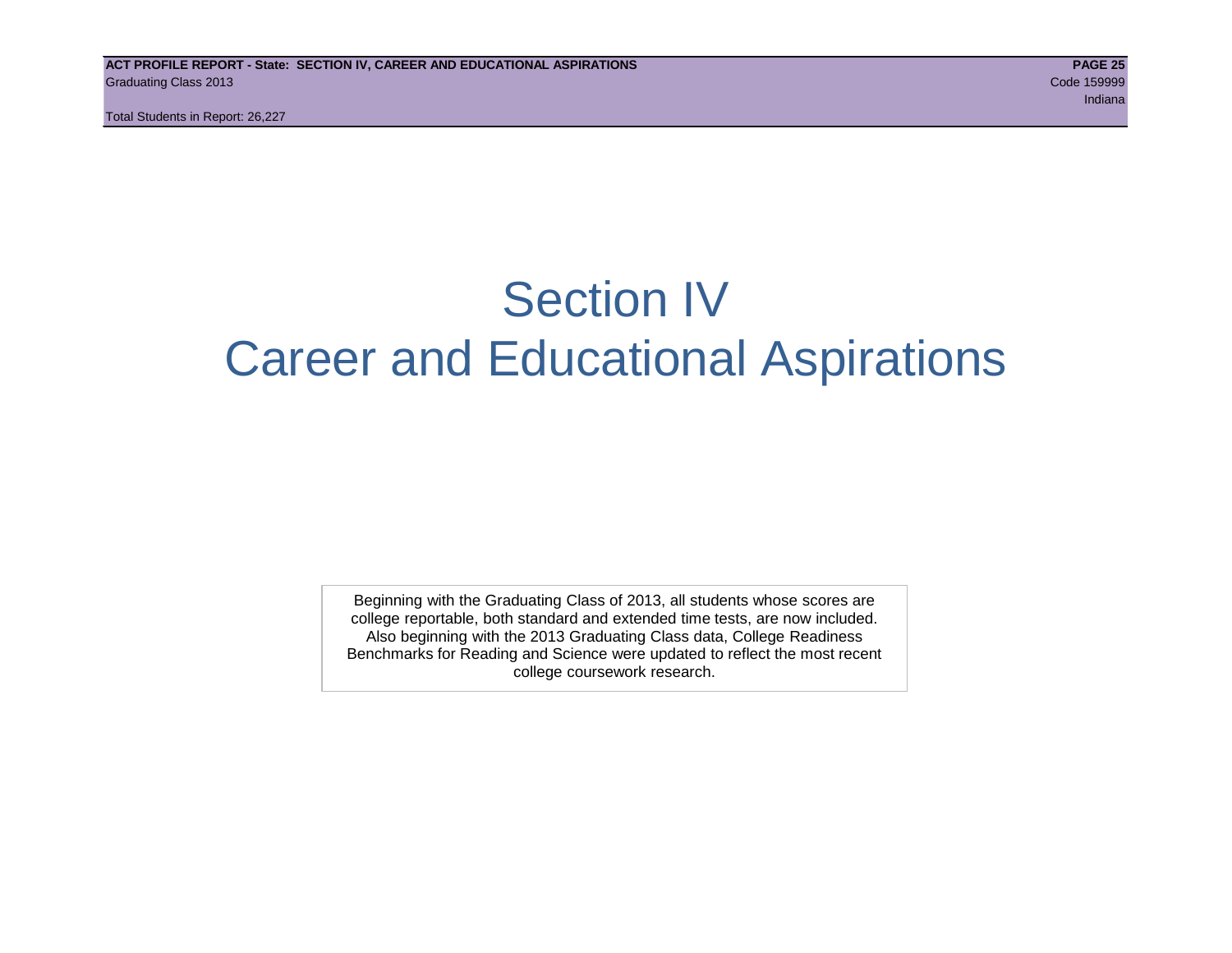### Section IV Career and Educational Aspirations

Beginning with the Graduating Class of 2013, all students whose scores are college reportable, both standard and extended time tests, are now included. Also beginning with the 2013 Graduating Class data, College Readiness Benchmarks for Reading and Science were updated to reflect the most recent college coursework research.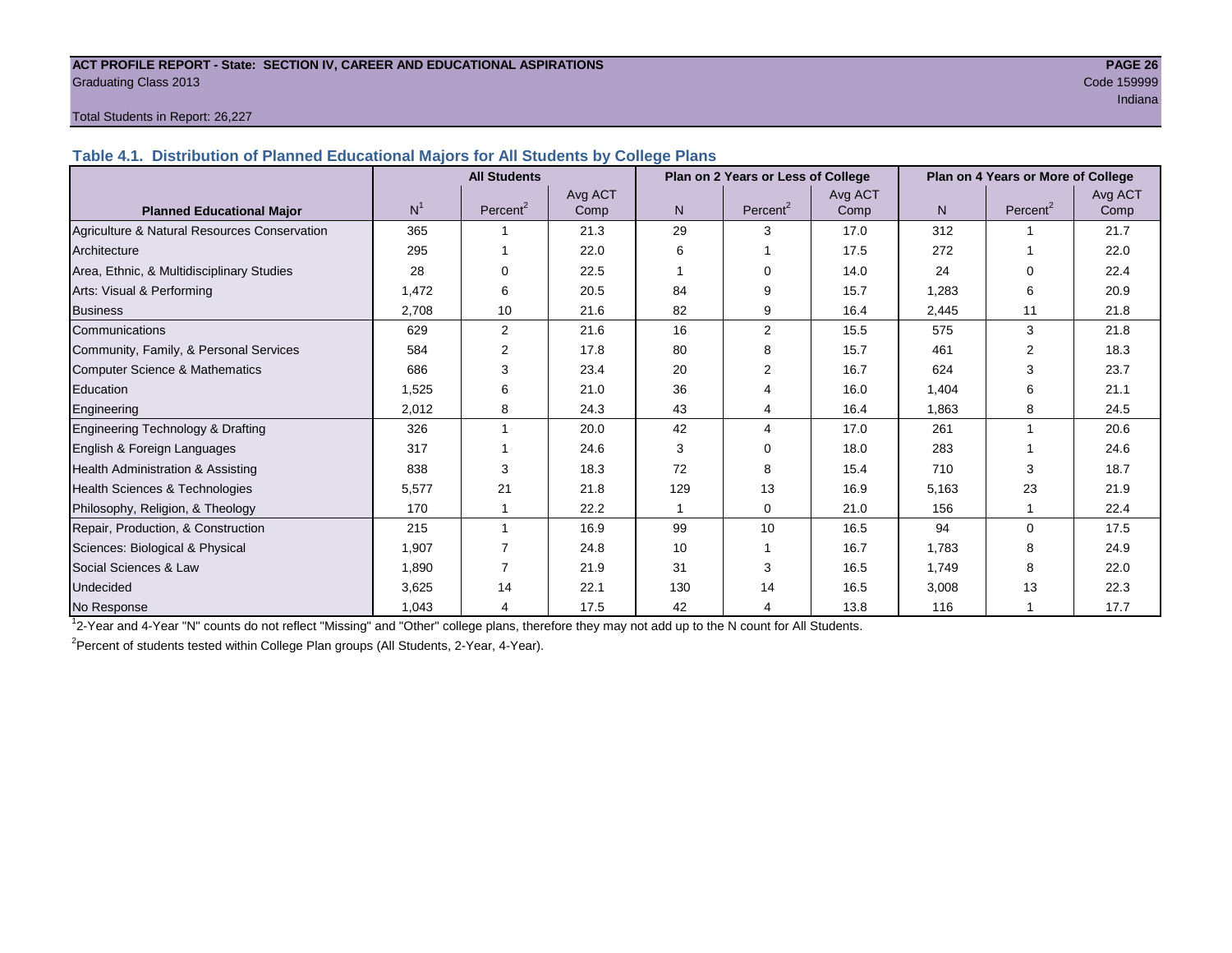#### **ACT PROFILE REPORT - State: SECTION IV, CAREER AND EDUCATIONAL ASPIRATIONS PAGE 26** Graduating Class 2013 Code 159999

ing the control of the control of the control of the control of the control of the control of the control of the control of the control of the control of the control of the control of the control of the control of the cont

#### Total Students in Report: 26,227

**Table 4.1. Distribution of Planned Educational Majors for All Students by College Plans**

|                                              | <b>All Students</b><br>Plan on 2 Years or Less of College |                      |         |                |                      |         | Plan on 4 Years or More of College |                      |         |
|----------------------------------------------|-----------------------------------------------------------|----------------------|---------|----------------|----------------------|---------|------------------------------------|----------------------|---------|
|                                              |                                                           |                      | Avg ACT |                |                      | Avg ACT |                                    |                      | Avg ACT |
| <b>Planned Educational Major</b>             | N <sup>1</sup>                                            | Percent <sup>2</sup> | Comp    | N <sub>1</sub> | Percent <sup>2</sup> | Comp    | N.                                 | Percent <sup>2</sup> | Comp    |
| Agriculture & Natural Resources Conservation | 365                                                       |                      | 21.3    | 29             | 3                    | 17.0    | 312                                |                      | 21.7    |
| Architecture                                 | 295                                                       |                      | 22.0    | 6              |                      | 17.5    | 272                                |                      | 22.0    |
| Area, Ethnic, & Multidisciplinary Studies    | 28                                                        |                      | 22.5    |                | $\Omega$             | 14.0    | 24                                 | 0                    | 22.4    |
| Arts: Visual & Performing                    | 1,472                                                     | 6                    | 20.5    | 84             | 9                    | 15.7    | 1,283                              | 6                    | 20.9    |
| <b>Business</b>                              | 2.708                                                     | 10                   | 21.6    | 82             | 9                    | 16.4    | 2,445                              | 11                   | 21.8    |
| Communications                               | 629                                                       | $\overline{2}$       | 21.6    | 16             | 2                    | 15.5    | 575                                | 3                    | 21.8    |
| Community, Family, & Personal Services       | 584                                                       | 2                    | 17.8    | 80             | 8                    | 15.7    | 461                                | $\overline{2}$       | 18.3    |
| <b>Computer Science &amp; Mathematics</b>    | 686                                                       | 3                    | 23.4    | 20             | 2                    | 16.7    | 624                                | 3                    | 23.7    |
| Education                                    | 1,525                                                     | 6                    | 21.0    | 36             |                      | 16.0    | 1,404                              | 6                    | 21.1    |
| Engineering                                  | 2.012                                                     | 8                    | 24.3    | 43             | 4                    | 16.4    | 1.863                              | 8                    | 24.5    |
| Engineering Technology & Drafting            | 326                                                       |                      | 20.0    | 42             | 4                    | 17.0    | 261                                | 1                    | 20.6    |
| English & Foreign Languages                  | 317                                                       |                      | 24.6    | 3              | $\Omega$             | 18.0    | 283                                |                      | 24.6    |
| Health Administration & Assisting            | 838                                                       | 3                    | 18.3    | 72             | 8                    | 15.4    | 710                                | 3                    | 18.7    |
| Health Sciences & Technologies               | 5,577                                                     | 21                   | 21.8    | 129            | 13                   | 16.9    | 5,163                              | 23                   | 21.9    |
| Philosophy, Religion, & Theology             | 170                                                       |                      | 22.2    |                | $\Omega$             | 21.0    | 156                                |                      | 22.4    |
| Repair, Production, & Construction           | 215                                                       |                      | 16.9    | 99             | 10                   | 16.5    | 94                                 | $\Omega$             | 17.5    |
| Sciences: Biological & Physical              | 1,907                                                     |                      | 24.8    | 10             |                      | 16.7    | 1,783                              | 8                    | 24.9    |
| Social Sciences & Law                        | 1,890                                                     |                      | 21.9    | 31             | 3                    | 16.5    | 1,749                              | 8                    | 22.0    |
| Undecided                                    | 3,625                                                     | 14                   | 22.1    | 130            | 14                   | 16.5    | 3,008                              | 13                   | 22.3    |
| No Response                                  | 1,043                                                     | 4                    | 17.5    | 42             | 4                    | 13.8    | 116                                |                      | 17.7    |

1 2-Year and 4-Year "N" counts do not reflect "Missing" and "Other" college plans, therefore they may not add up to the N count for All Students.

<sup>2</sup> Percent of students tested within College Plan groups (All Students, 2-Year, 4-Year).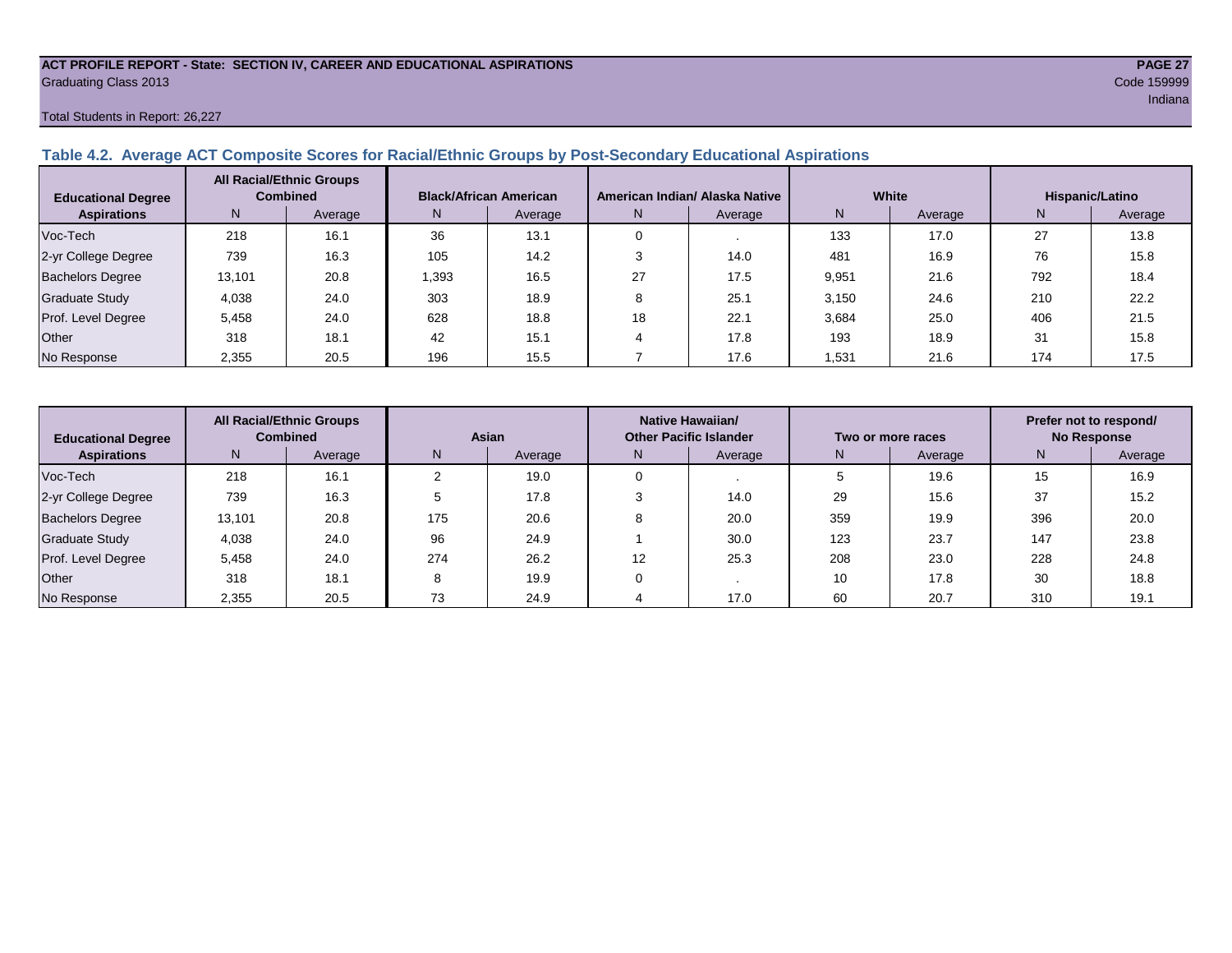#### **ACT PROFILE REPORT - State: SECTION IV, CAREER AND EDUCATIONAL ASPIRATIONS PAGE 27** Graduating Class 2013 Code 159999

#### Total Students in Report: 26,227

#### **Table 4.2. Average ACT Composite Scores for Racial/Ethnic Groups by Post-Secondary Educational Aspirations**

| <b>Educational Degree</b> | <b>All Racial/Ethnic Groups</b><br><b>Combined</b> |         |      | <b>Black/African American</b> |    | American Indian/ Alaska Native |       | White   | Hispanic/Latino |         |  |
|---------------------------|----------------------------------------------------|---------|------|-------------------------------|----|--------------------------------|-------|---------|-----------------|---------|--|
| <b>Aspirations</b>        | N.                                                 | Average | N.   | Average                       | N. | Average                        | N     | Average | N.              | Average |  |
| Voc-Tech                  | 218                                                | 16.1    | 36   | 13.1                          |    |                                | 133   | 17.0    | 27              | 13.8    |  |
| 2-yr College Degree       | 739                                                | 16.3    | 105  | 14.2                          |    | 14.0                           | 481   | 16.9    | 76              | 15.8    |  |
| <b>Bachelors Degree</b>   | 13,101                                             | 20.8    | .393 | 16.5                          | 27 | 17.5                           | 9,951 | 21.6    | 792             | 18.4    |  |
| <b>Graduate Study</b>     | 4,038                                              | 24.0    | 303  | 18.9                          |    | 25.1                           | 3,150 | 24.6    | 210             | 22.2    |  |
| Prof. Level Degree        | 5.458                                              | 24.0    | 628  | 18.8                          | 18 | 22.1                           | 3,684 | 25.0    | 406             | 21.5    |  |
| Other                     | 318                                                | 18.1    | 42   | 15.1                          |    | 17.8                           | 193   | 18.9    | 31              | 15.8    |  |
| No Response               | 2,355                                              | 20.5    | 196  | 15.5                          |    | 17.6                           | 1,531 | 21.6    | 174             | 17.5    |  |

| <b>Educational Degree</b> | <b>All Racial/Ethnic Groups</b><br><b>Combined</b> |         | Asian |         | Native Hawaiian/<br><b>Other Pacific Islander</b> |         | Two or more races |         | Prefer not to respond/<br><b>No Response</b> |         |  |
|---------------------------|----------------------------------------------------|---------|-------|---------|---------------------------------------------------|---------|-------------------|---------|----------------------------------------------|---------|--|
| <b>Aspirations</b>        | N.                                                 | Average | N     | Average | N                                                 | Average | N                 | Average | N                                            | Average |  |
| Voc-Tech                  | 218                                                | 16.1    |       | 19.0    |                                                   |         |                   | 19.6    | 15                                           | 16.9    |  |
| 2-yr College Degree       | 739                                                | 16.3    |       | 17.8    |                                                   | 14.0    | 29                | 15.6    | 37                                           | 15.2    |  |
| <b>Bachelors Degree</b>   | 13,101                                             | 20.8    | 175   | 20.6    |                                                   | 20.0    | 359               | 19.9    | 396                                          | 20.0    |  |
| <b>Graduate Study</b>     | 4,038                                              | 24.0    | 96    | 24.9    |                                                   | 30.0    | 123               | 23.7    | 147                                          | 23.8    |  |
| Prof. Level Degree        | 5.458                                              | 24.0    | 274   | 26.2    | 12                                                | 25.3    | 208               | 23.0    | 228                                          | 24.8    |  |
| Other                     | 318                                                | 18.1    | 8     | 19.9    |                                                   |         | 10                | 17.8    | 30                                           | 18.8    |  |
| No Response               | 2,355                                              | 20.5    | 73    | 24.9    |                                                   | 17.0    | 60                | 20.7    | 310                                          | 19.1    |  |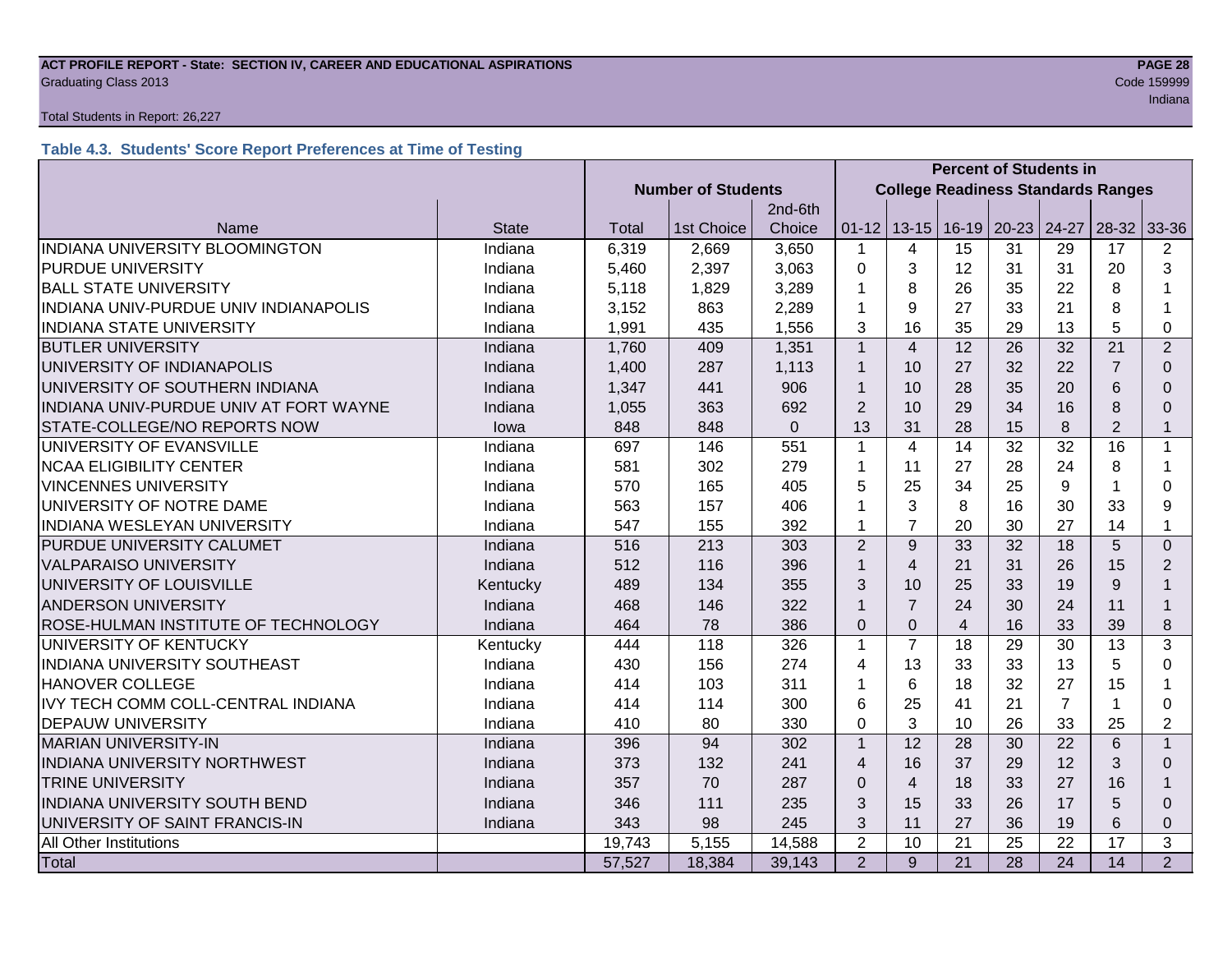#### **ACT PROFILE REPORT - State: SECTION IV, CAREER AND EDUCATIONAL ASPIRATIONS PAGE 28 Graduating Class 2013** Code 159999

#### Total Students in Report: 26,227

#### **Table 4.3. Students' Score Report Preferences at Time of Testing**

|                                        |              |                           |            |             | <b>Percent of Students in</b>             |                |                 |                               |                 |                |                |
|----------------------------------------|--------------|---------------------------|------------|-------------|-------------------------------------------|----------------|-----------------|-------------------------------|-----------------|----------------|----------------|
|                                        |              | <b>Number of Students</b> |            |             | <b>College Readiness Standards Ranges</b> |                |                 |                               |                 |                |                |
|                                        |              |                           |            | 2nd-6th     |                                           |                |                 |                               |                 |                |                |
| Name                                   | <b>State</b> | Total                     | 1st Choice | Choice      | $01 - 12$                                 |                |                 | 13-15   16-19   20-23   24-27 |                 | $28-32$        | 33-36          |
| INDIANA UNIVERSITY BLOOMINGTON         | Indiana      | 6,319                     | 2,669      | 3,650       | $\mathbf 1$                               | 4              | 15              | 31                            | 29              | 17             | 2              |
| <b>PURDUE UNIVERSITY</b>               | Indiana      | 5,460                     | 2,397      | 3,063       | $\overline{0}$                            | 3              | 12              | 31                            | 31              | 20             | 3              |
| <b>BALL STATE UNIVERSITY</b>           | Indiana      | 5,118                     | 1,829      | 3,289       | 1                                         | 8              | 26              | 35                            | 22              | 8              |                |
| INDIANA UNIV-PURDUE UNIV INDIANAPOLIS  | Indiana      | 3,152                     | 863        | 2,289       | 1                                         | 9              | 27              | 33                            | 21              | 8              | 1              |
| <b>INDIANA STATE UNIVERSITY</b>        | Indiana      | 1,991                     | 435        | 1,556       | 3                                         | 16             | 35              | 29                            | 13              | 5              | 0              |
| <b>BUTLER UNIVERSITY</b>               | Indiana      | 1,760                     | 409        | 1,351       | $\mathbf{1}$                              | $\overline{4}$ | 12              | 26                            | 32              | 21             | $\overline{2}$ |
| UNIVERSITY OF INDIANAPOLIS             | Indiana      | 1,400                     | 287        | 1,113       | $\mathbf{1}$                              | 10             | 27              | 32                            | 22              | $\overline{7}$ | $\Omega$       |
| UNIVERSITY OF SOUTHERN INDIANA         | Indiana      | 1,347                     | 441        | 906         | $\mathbf{1}$                              | 10             | 28              | 35                            | 20              | 6              | $\Omega$       |
| INDIANA UNIV-PURDUE UNIV AT FORT WAYNE | Indiana      | 1,055                     | 363        | 692         | $\overline{2}$                            | 10             | 29              | 34                            | 16              | 8              | $\Omega$       |
| STATE-COLLEGE/NO REPORTS NOW           | lowa         | 848                       | 848        | $\mathbf 0$ | 13                                        | 31             | 28              | 15                            | 8               | $\overline{2}$ | $\mathbf{1}$   |
| UNIVERSITY OF EVANSVILLE               | Indiana      | 697                       | 146        | 551         | $\mathbf{1}$                              | $\overline{4}$ | 14              | 32                            | 32              | 16             | $\mathbf{1}$   |
| <b>NCAA ELIGIBILITY CENTER</b>         | Indiana      | 581                       | 302        | 279         | 1                                         | 11             | 27              | 28                            | 24              | 8              | 1              |
| <b>VINCENNES UNIVERSITY</b>            | Indiana      | 570                       | 165        | 405         | 5                                         | 25             | 34              | 25                            | 9               |                | $\Omega$       |
| UNIVERSITY OF NOTRE DAME               | Indiana      | 563                       | 157        | 406         | 1                                         | 3              | 8               | 16                            | 30              | 33             | 9              |
| INDIANA WESLEYAN UNIVERSITY            | Indiana      | 547                       | 155        | 392         | 1                                         | $\overline{7}$ | 20              | 30                            | 27              | 14             | $\mathbf 1$    |
| PURDUE UNIVERSITY CALUMET              | Indiana      | 516                       | 213        | 303         | $\overline{2}$                            | 9              | 33              | 32                            | 18              | 5              | $\overline{0}$ |
| <b>VALPARAISO UNIVERSITY</b>           | Indiana      | 512                       | 116        | 396         | $\mathbf{1}$                              | $\overline{4}$ | 21              | 31                            | 26              | 15             | 2              |
| UNIVERSITY OF LOUISVILLE               | Kentucky     | 489                       | 134        | 355         | 3                                         | 10             | 25              | 33                            | 19              | 9              | 1              |
| ANDERSON UNIVERSITY                    | Indiana      | 468                       | 146        | 322         | $\mathbf{1}$                              | $\overline{7}$ | 24              | 30                            | 24              | 11             | $\mathbf 1$    |
| ROSE-HULMAN INSTITUTE OF TECHNOLOGY    | Indiana      | 464                       | 78         | 386         | $\Omega$                                  | $\overline{0}$ | $\overline{4}$  | 16                            | 33              | 39             | 8              |
| UNIVERSITY OF KENTUCKY                 | Kentucky     | 444                       | 118        | 326         | $\mathbf{1}$                              | $\overline{7}$ | 18              | 29                            | 30              | 13             | 3              |
| INDIANA UNIVERSITY SOUTHEAST           | Indiana      | 430                       | 156        | 274         | 4                                         | 13             | 33              | 33                            | 13              | 5              | $\Omega$       |
| <b>HANOVER COLLEGE</b>                 | Indiana      | 414                       | 103        | 311         | 1                                         | 6              | 18              | 32                            | 27              | 15             | 1              |
| IVY TECH COMM COLL-CENTRAL INDIANA     | Indiana      | 414                       | 114        | 300         | 6                                         | 25             | 41              | 21                            | $\overline{7}$  |                | 0              |
| <b>DEPAUW UNIVERSITY</b>               | Indiana      | 410                       | 80         | 330         | $\mathbf 0$                               | 3              | 10              | 26                            | 33              | 25             | $\overline{2}$ |
| <b>MARIAN UNIVERSITY-IN</b>            | Indiana      | 396                       | 94         | 302         | $\mathbf{1}$                              | 12             | 28              | 30                            | 22              | 6              | $\mathbf{1}$   |
| INDIANA UNIVERSITY NORTHWEST           | Indiana      | 373                       | 132        | 241         | 4                                         | 16             | 37              | 29                            | 12              | 3              | $\Omega$       |
| <b>TRINE UNIVERSITY</b>                | Indiana      | 357                       | 70         | 287         | $\Omega$                                  | $\overline{4}$ | 18              | 33                            | 27              | 16             |                |
| <b>INDIANA UNIVERSITY SOUTH BEND</b>   | Indiana      | 346                       | 111        | 235         | 3                                         | 15             | 33              | 26                            | 17              | 5              | $\Omega$       |
| UNIVERSITY OF SAINT FRANCIS-IN         | Indiana      | 343                       | 98         | 245         | 3                                         | 11             | 27              | 36                            | 19              | 6              | 0              |
| All Other Institutions                 |              | 19,743                    | 5,155      | 14,588      | $\overline{2}$                            | 10             | 21              | 25                            | 22              | 17             | 3              |
| <b>Total</b>                           |              | 57,527                    | 18,384     | 39,143      | $\overline{2}$                            | 9              | $\overline{21}$ | $\overline{28}$               | $\overline{24}$ | 14             | $\overline{2}$ |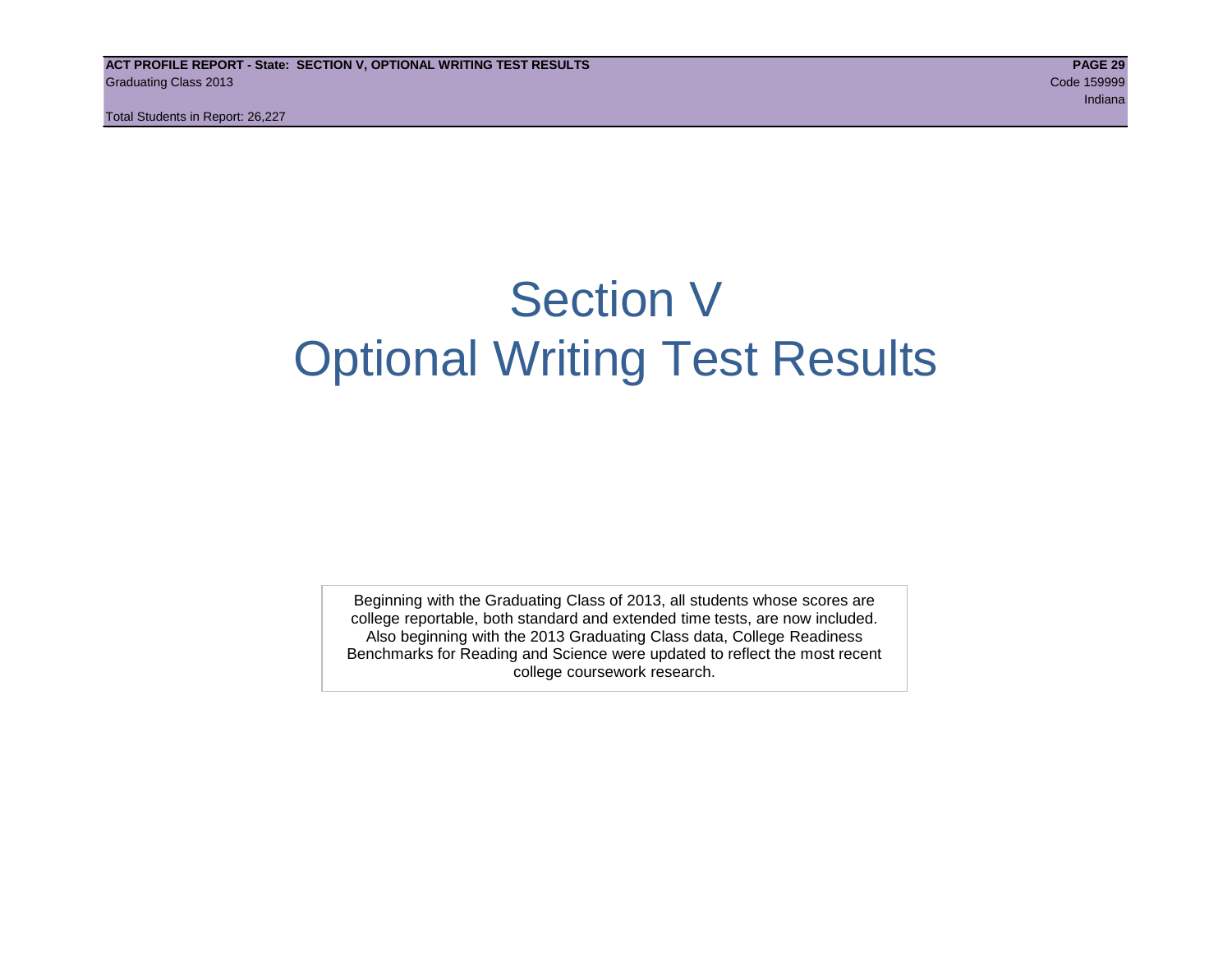# Section V Optional Writing Test Results

Beginning with the Graduating Class of 2013, all students whose scores are college reportable, both standard and extended time tests, are now included. Also beginning with the 2013 Graduating Class data, College Readiness Benchmarks for Reading and Science were updated to reflect the most recent college coursework research.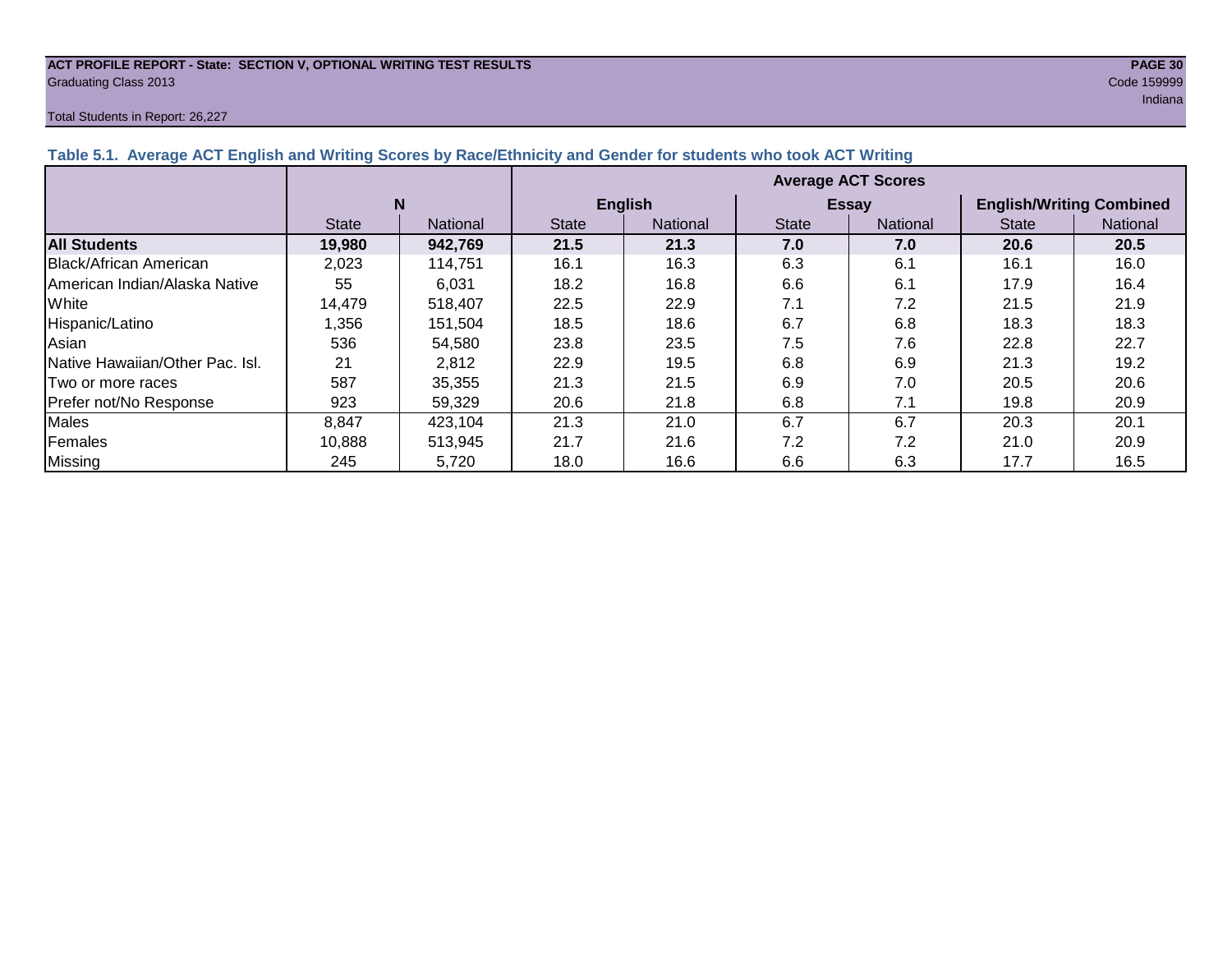### **ACT PROFILE REPORT - State: SECTION V, OPTIONAL WRITING TEST RESULTS PAGE 30** Graduating Class 2013 Code 159999

#### Total Students in Report: 26,227

| Table 5.1. Average ACT English and Writing Scores by Race/Ethnicity and Gender for students who took ACT Writing |                           |                 |                |                 |              |                 |                                 |                 |  |
|------------------------------------------------------------------------------------------------------------------|---------------------------|-----------------|----------------|-----------------|--------------|-----------------|---------------------------------|-----------------|--|
|                                                                                                                  | <b>Average ACT Scores</b> |                 |                |                 |              |                 |                                 |                 |  |
|                                                                                                                  |                           |                 | <b>English</b> |                 |              | <b>Essay</b>    | <b>English/Writing Combined</b> |                 |  |
|                                                                                                                  | <b>State</b>              | <b>National</b> | <b>State</b>   | <b>National</b> | <b>State</b> | <b>National</b> | <b>State</b>                    | <b>National</b> |  |
| <b>All Students</b>                                                                                              | 19,980                    | 942,769         | 21.5           | 21.3            | 7.0          | 7.0             | 20.6                            | 20.5            |  |
| <b>Black/African American</b>                                                                                    | 2.023                     | 114.751         | 16.1           | 16.3            | 6.3          | 6.1             | 16.1                            | 16.0            |  |
| <b>IAmerican Indian/Alaska Native</b>                                                                            | 55                        | 6.031           | 18.2           | 16.8            | 6.6          | 6.1             | 17.9                            | 16.4            |  |
| White                                                                                                            | 14,479                    | 518.407         | 22.5           | 22.9            | 7.1          | 7.2             | 21.5                            | 21.9            |  |
| Hispanic/Latino                                                                                                  | ,356                      | 151.504         | 18.5           | 18.6            | 6.7          | 6.8             | 18.3                            | 18.3            |  |
| Asian                                                                                                            | 536                       | 54.580          | 23.8           | 23.5            | 7.5          | 7.6             | 22.8                            | 22.7            |  |
| Native Hawaiian/Other Pac. Isl.                                                                                  | 21                        | 2,812           | 22.9           | 19.5            | 6.8          | 6.9             | 21.3                            | 19.2            |  |
| <b>Two or more races</b>                                                                                         | 587                       | 35.355          | 21.3           | 21.5            | 6.9          | 7.0             | 20.5                            | 20.6            |  |
| Prefer not/No Response                                                                                           | 923                       | 59,329          | 20.6           | 21.8            | 6.8          | 7.1             | 19.8                            | 20.9            |  |
|                                                                                                                  |                           |                 |                |                 |              |                 |                                 |                 |  |

Males | 8,847 | 423,104 | 21.3 | 21.0 | 6.7 | 6.7 | 20.3 | 20.1 Females 10,888 513,945 21.7 21.6 7.2 7.2 21.0 20.9 Missing | 245 | 5,720 | 18.0 | 16.6 | 6.6 | 6.3 | 17.7 | 16.5

### ing the control of the control of the control of the control of the control of the control of the control of the control of the control of the control of the control of the control of the control of the control of the cont